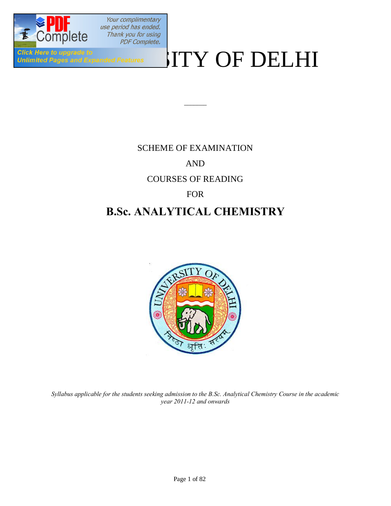

# Click Here to upgrade to<br>Unlimited Pages and Expanded Features WITY OF DELHI

# SCHEME OF EXAMINATION AND

 $\overline{\phantom{a}}$ 

### COURSES OF READING

### FOR

## **B.Sc. ANALYTICAL CHEMISTRY**



*Syllabus applicable for the students seeking admission to the B.Sc. Analytical Chemistry Course in the academic year 2011-12 and onwards*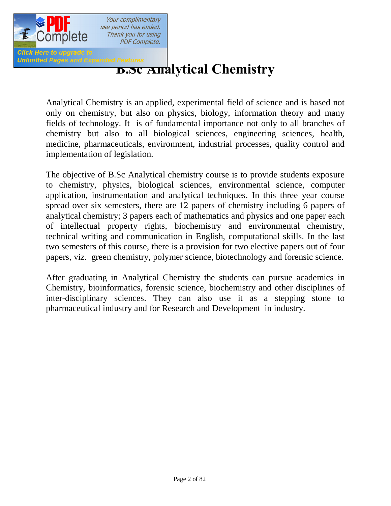

### Thank you for using **PDF Complete.**

# *Balimited Pages and Expanded Features*<br>**B.SC Analytical Chemistry**

Analytical Chemistry is an applied, experimental field of science and is based not only on chemistry, but also on physics, biology, information theory and many fields of technology. It is of fundamental importance not only to all branches of chemistry but also to all biological sciences, engineering sciences, health, medicine, pharmaceuticals, environment, industrial processes, quality control and implementation of legislation.

The objective of B.Sc Analytical chemistry course is to provide students exposure to chemistry, physics, biological sciences, environmental science, computer application, instrumentation and analytical techniques. In this three year course spread over six semesters, there are 12 papers of chemistry including 6 papers of analytical chemistry; 3 papers each of mathematics and physics and one paper each of intellectual property rights, biochemistry and environmental chemistry, technical writing and communication in English, computational skills. In the last two semesters of this course, there is a provision for two elective papers out of four papers, viz. green chemistry, polymer science, biotechnology and forensic science.

After graduating in Analytical Chemistry the students can pursue academics in Chemistry, bioinformatics, forensic science, biochemistry and other disciplines of inter-disciplinary sciences. They can also use it as a stepping stone to pharmaceutical industry and for Research and Development in industry.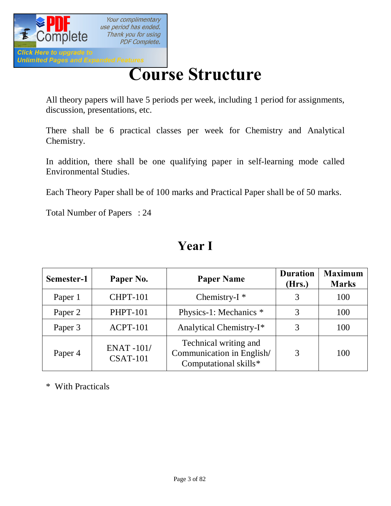

# **[Cour](http://www.pdfcomplete.com/cms/hppl/tabid/108/Default.aspx?r=q8b3uige22)se Structure**

All theory papers will have 5 periods per week, including 1 period for assignments, discussion, presentations, etc.

There shall be 6 practical classes per week for Chemistry and Analytical Chemistry.

In addition, there shall be one qualifying paper in self-learning mode called Environmental Studies.

Each Theory Paper shall be of 100 marks and Practical Paper shall be of 50 marks.

Total Number of Papers : 24

| Semester-1 | Paper No.                           | <b>Paper Name</b>                                                           | <b>Duration</b><br>(Hrs.) | <b>Maximum</b><br><b>Marks</b> |
|------------|-------------------------------------|-----------------------------------------------------------------------------|---------------------------|--------------------------------|
| Paper 1    | <b>CHPT-101</b>                     | Chemistry- $I^*$                                                            | 3                         | 100                            |
| Paper 2    | <b>PHPT-101</b>                     | Physics-1: Mechanics *                                                      |                           | 100                            |
| Paper 3    | <b>ACPT-101</b>                     | Analytical Chemistry-I*                                                     | 3                         | 100                            |
| Paper 4    | <b>ENAT-101/</b><br><b>CSAT-101</b> | Technical writing and<br>Communication in English/<br>Computational skills* | 3                         | 100                            |

## **Year I**

\* With Practicals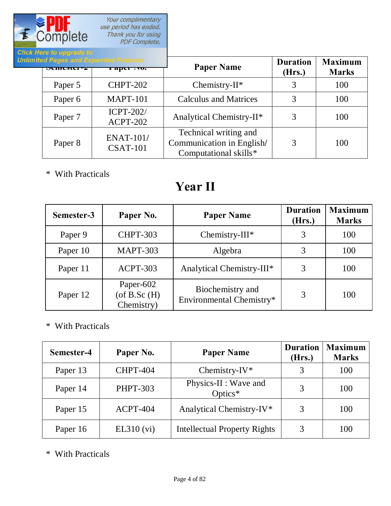

| и пого во аругимо во |                                                         |                                                                             |                           |                                |
|----------------------|---------------------------------------------------------|-----------------------------------------------------------------------------|---------------------------|--------------------------------|
| $DUHUMU^-$           | mited Pages and Expanded Features<br><b>1 арег 110.</b> | <b>Paper Name</b>                                                           | <b>Duration</b><br>(Hrs.) | <b>Maximum</b><br><b>Marks</b> |
| Paper 5              | <b>CHPT-202</b>                                         | Chemistry- $II^*$                                                           |                           | 100                            |
| Paper 6              | <b>MAPT-101</b>                                         | <b>Calculus and Matrices</b>                                                | 3                         | 100                            |
| Paper 7              | <b>ICPT-202/</b><br>ACPT-202                            | Analytical Chemistry-II*                                                    | 3                         | 100                            |
| Paper 8              | <b>ENAT-101/</b><br><b>CSAT-101</b>                     | Technical writing and<br>Communication in English/<br>Computational skills* | 3                         | 100                            |

\* With Practicals

# **Year II**

| Semester-3 | Paper No.                                    | <b>Paper Name</b>                            | <b>Duration</b><br>(Hrs.) | <b>Maximum</b><br><b>Marks</b> |
|------------|----------------------------------------------|----------------------------------------------|---------------------------|--------------------------------|
| Paper 9    | <b>CHPT-303</b>                              | Chemistry- $III^*$                           |                           | 100                            |
| Paper 10   | <b>MAPT-303</b>                              | Algebra                                      | 3                         | 100                            |
| Paper 11   | ACPT-303                                     | Analytical Chemistry-III*                    | 3                         | 100                            |
| Paper 12   | Paper-602<br>$($ of B.Sc $(H)$<br>Chemistry) | Biochemistry and<br>Environmental Chemistry* | 3                         | 100                            |

\* With Practicals

| Semester-4 | Paper No.       | <b>Paper Name</b>                   | <b>Duration</b><br>(Hrs.) | <b>Maximum</b><br><b>Marks</b> |
|------------|-----------------|-------------------------------------|---------------------------|--------------------------------|
| Paper 13   | <b>CHPT-404</b> | Chemistry-IV*                       |                           | 100                            |
| Paper 14   | <b>PHPT-303</b> | Physics-II : Wave and<br>Optics $*$ |                           | 100                            |
| Paper 15   | ACPT-404        | Analytical Chemistry-IV*            |                           | 100                            |
| Paper 16   | EL310 (vi)      | <b>Intellectual Property Rights</b> |                           | 100                            |

\* With Practicals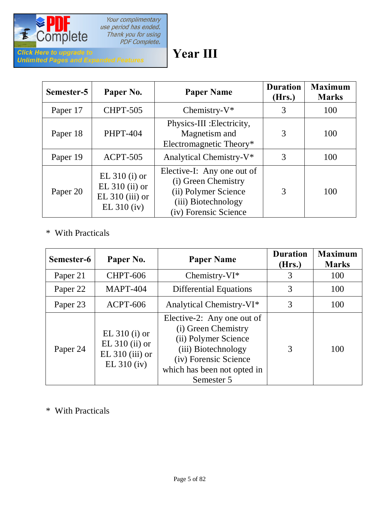

# **Year III**

| Semester-5 | Paper No.                                                                 | <b>Paper Name</b>                                                                                                         | <b>Duration</b><br>(Hrs.) | <b>Maximum</b><br><b>Marks</b> |
|------------|---------------------------------------------------------------------------|---------------------------------------------------------------------------------------------------------------------------|---------------------------|--------------------------------|
| Paper 17   | <b>CHPT-505</b>                                                           | Chemistry- $V^*$                                                                                                          | 3                         | 100                            |
| Paper 18   | <b>PHPT-404</b>                                                           | Physics-III : Electricity,<br>Magnetism and<br>Electromagnetic Theory*                                                    | 3                         | 100                            |
| Paper 19   | <b>ACPT-505</b>                                                           | Analytical Chemistry-V <sup>*</sup>                                                                                       | 3                         | 100                            |
| Paper 20   | EL $310$ (i) or<br>EL $310$ (ii) or<br>$EL 310 (iii)$ or<br>$EL 310$ (iv) | Elective-I: Any one out of<br>(i) Green Chemistry<br>(ii) Polymer Science<br>(iii) Biotechnology<br>(iv) Forensic Science | 3                         | 100                            |

### \* With Practicals

| Semester-6 | Paper No.                                                                 | <b>Paper Name</b>                                                                                                                                                      | <b>Duration</b><br>(Hrs.) | <b>Maximum</b><br><b>Marks</b> |
|------------|---------------------------------------------------------------------------|------------------------------------------------------------------------------------------------------------------------------------------------------------------------|---------------------------|--------------------------------|
| Paper 21   | <b>CHPT-606</b>                                                           | Chemistry- $VI^*$                                                                                                                                                      | 3                         | 100                            |
| Paper 22   | <b>MAPT-404</b>                                                           | <b>Differential Equations</b>                                                                                                                                          | 3                         | 100                            |
| Paper 23   | <b>ACPT-606</b>                                                           | Analytical Chemistry-VI*                                                                                                                                               | 3                         | 100                            |
| Paper 24   | EL $310$ (i) or<br>EL $310$ (ii) or<br>$EL 310 (iii)$ or<br>$EL 310$ (iv) | Elective-2: Any one out of<br>(i) Green Chemistry<br>(ii) Polymer Science<br>(iii) Biotechnology<br>(iv) Forensic Science<br>which has been not opted in<br>Semester 5 | 3                         | 100                            |

### \* With Practicals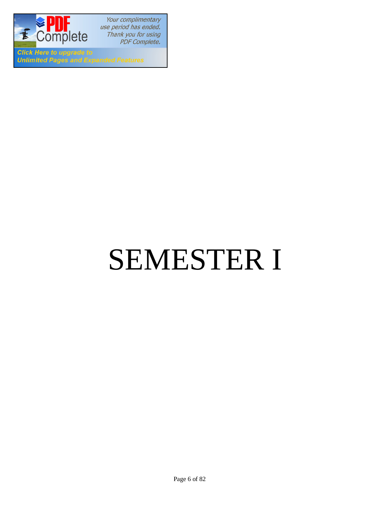

**Click Here to upgrade to Unlimited Pages and Expanded Features** 

# SEMESTER I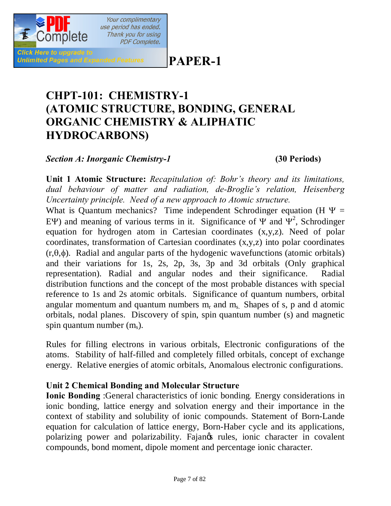## **PAPER-1**

# **CHPT-101: CHEMISTRY-1 (ATOMIC STRUCTURE, BONDING, GENERAL ORGANIC CHEMISTRY & ALIPHATIC HYDROCARBONS)**

*Section A: Inorganic Chemistry-1* **(30 Periods)**

Click Here to upgrade to

**Unlimited Pages and Expanded Features** 

Your complimentary use period has ended. Thank you for using **PDF Complete.** 

**Unit 1 Atomic Structure:** *Recapitulation of: Bohr's theory and its limitations, dual behaviour of matter and radiation, de-Broglie's relation, Heisenberg Uncertainty principle. Need of a new approach to Atomic structure.*

What is Quantum mechanics? Time independent Schrodinger equation (H  $\Psi$  = EY) and meaning of various terms in it. Significance of  $\Psi$  and  $\Psi^2$ , Schrodinger equation for hydrogen atom in Cartesian coordinates (x,y,z). Need of polar coordinates, transformation of Cartesian coordinates (x,y,z) into polar coordinates  $(r,\theta,\phi)$ . Radial and angular parts of the hydogenic wavefunctions (atomic orbitals) and their variations for 1s, 2s, 2p, 3s, 3p and 3d orbitals (Only graphical representation). Radial and angular nodes and their significance. Radial distribution functions and the concept of the most probable distances with special reference to 1s and 2s atomic orbitals. Significance of quantum numbers, orbital angular momentum and quantum numbers  $m_r$  and  $m_s$ . Shapes of s, p and d atomic orbitals, nodal planes. Discovery of spin, spin quantum number (s) and magnetic spin quantum number  $(m_s)$ .

Rules for filling electrons in various orbitals, Electronic configurations of the atoms. Stability of half-filled and completely filled orbitals, concept of exchange energy. Relative energies of atomic orbitals, Anomalous electronic configurations.

### **Unit 2 Chemical Bonding and Molecular Structure**

**Ionic Bonding** :General characteristics of ionic bonding*.* Energy considerations in ionic bonding, lattice energy and solvation energy and their importance in the context of stability and solubility of ionic compounds. Statement of Born-Lande equation for calculation of lattice energy, Born-Haber cycle and its applications, polarizing power and polarizability. Fajangs rules, ionic character in covalent compounds, bond moment, dipole moment and percentage ionic character.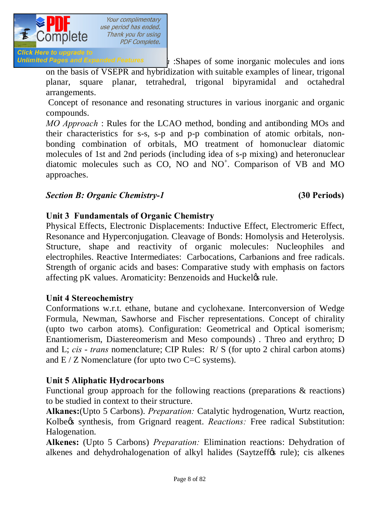

**Click Here to upgrade to Unlimited Pages and Expanded Features**  $\mathbf{i}$ : Shapes of some inorganic molecules and ions

on the basis of VSEPR and hybridization with suitable examples of linear, trigonal planar, square planar, tetrahedral, trigonal bipyramidal and octahedral arrangements.

Concept of resonance and resonating structures in various inorganic and organic compounds.

*MO Approach* : Rules for the LCAO method, bonding and antibonding MOs and their characteristics for s-s, s-p and p-p combination of atomic orbitals, nonbonding combination of orbitals, MO treatment of homonuclear diatomic molecules of 1st and 2nd periods (including idea of s-p mixing) and heteronuclear diatomic molecules such as CO, NO and NO<sup>+</sup>. Comparison of VB and MO approaches.

### *Section B: Organic Chemistry-1* **(30 Periods)**

### **Unit 3 Fundamentals of Organic Chemistry**

Physical Effects, Electronic Displacements: Inductive Effect, Electromeric Effect, Resonance and Hyperconjugation. Cleavage of Bonds: Homolysis and Heterolysis. Structure, shape and reactivity of organic molecules: Nucleophiles and electrophiles. Reactive Intermediates: Carbocations, Carbanions and free radicals. Strength of organic acids and bases: Comparative study with emphasis on factors affecting pK values. Aromaticity: Benzenoids and Huckel& rule.

### **Unit 4 Stereochemistry**

Conformations w.r.t. ethane, butane and cyclohexane. Interconversion of Wedge Formula, Newman, Sawhorse and Fischer representations. Concept of chirality (upto two carbon atoms). Configuration: Geometrical and Optical isomerism; Enantiomerism, Diastereomerism and Meso compounds) . Threo and erythro; D and L; *cis* - *trans* nomenclature; CIP Rules: R/ S (for upto 2 chiral carbon atoms) and  $E/Z$  Nomenclature (for upto two  $C=C$  systems).

### **Unit 5 Aliphatic Hydrocarbons**

Functional group approach for the following reactions (preparations & reactions) to be studied in context to their structure.

**Alkanes:**(Upto 5 Carbons). *Preparation:* Catalytic hydrogenation, Wurtz reaction, Kolbegs synthesis, from Grignard reagent. *Reactions:* Free radical Substitution: Halogenation.

**Alkenes:** (Upto 5 Carbons) *Preparation:* Elimination reactions: Dehydration of alkenes and dehydrohalogenation of alkyl halides (Saytzeff $\alpha$  rule); cis alkenes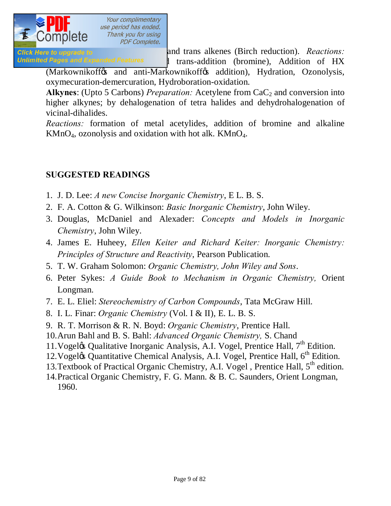

Click Here to upgrade to **Exercise 2018** and trans alkenes (Birch reduction). *Reactions:* Unlimited Pages and Expanded Features 1 trans-addition (bromine), Addition of HX

(Markownikoff & and anti-Markownikoff & addition), Hydration, Ozonolysis, oxymecuration-demercuration, Hydroboration-oxidation.

Alkynes: (Upto 5 Carbons) *Preparation:* Acetylene from CaC<sub>2</sub> and conversion into higher alkynes; by dehalogenation of tetra halides and dehydrohalogenation of vicinal-dihalides.

*Reactions:* formation of metal acetylides, addition of bromine and alkaline  $KMnO<sub>4</sub>$ , ozonolysis and oxidation with hot alk.  $KMnO<sub>4</sub>$ .

### **SUGGESTED READINGS**

- 1. J. D. Lee: *A new Concise Inorganic Chemistry*, E L. B. S.
- 2. F. A. Cotton & G. Wilkinson: *Basic Inorganic Chemistry*, John Wiley.
- 3. Douglas, McDaniel and Alexader: *Concepts and Models in Inorganic Chemistry*, John Wiley.
- 4. James E. Huheey, *Ellen Keiter and Richard Keiter: Inorganic Chemistry: Principles of Structure and Reactivity*, Pearson Publication.
- 5. T. W. Graham Solomon: *Organic Chemistry, John Wiley and Sons*.
- 6. Peter Sykes: *A Guide Book to Mechanism in Organic Chemistry,* Orient Longman.
- 7. E. L. Eliel: *Stereochemistry of Carbon Compounds*, Tata McGraw Hill.
- 8. I. L. Finar: *Organic Chemistry* (Vol. I & II), E. L. B. S.
- 9. R. T. Morrison & R. N. Boyd: *Organic Chemistry*, Prentice Hall.
- 10.Arun Bahl and B. S. Bahl: *Advanced Organic Chemistry,* S. Chand
- 11. Vogel $\alpha$  Qualitative Inorganic Analysis, A.I. Vogel, Prentice Hall,  $7<sup>th</sup>$  Edition.
- 12. Vogeløs Quantitative Chemical Analysis, A.I. Vogel, Prentice Hall, 6<sup>th</sup> Edition.
- 13. Textbook of Practical Organic Chemistry, A.I. Vogel, Prentice Hall,  $5<sup>th</sup>$  edition.
- 14.Practical Organic Chemistry, F. G. Mann. & B. C. Saunders, Orient Longman, 1960.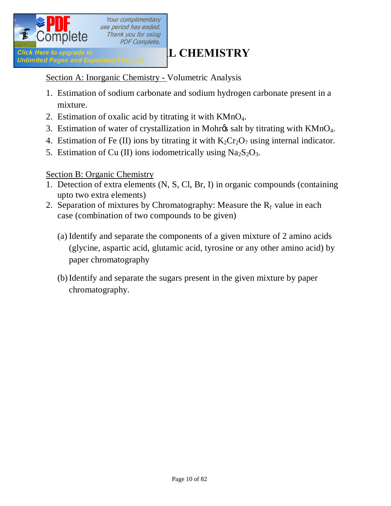

Section A: Inorganic Chemistry - Volumetric Analysis

- 1. Estimation of sodium carbonate and sodium hydrogen carbonate present in a mixture.
- 2. Estimation of oxalic acid by titrating it with KMnO4.
- 3. Estimation of water of crystallization in Mohr $\alpha$ s salt by titrating with KMnO<sub>4</sub>.
- 4. Estimation of Fe (II) ions by titrating it with  $K_2Cr_2O_7$  using internal indicator.
- 5. Estimation of Cu (II) ions iodometrically using  $Na<sub>2</sub>S<sub>2</sub>O<sub>3</sub>$ .

### Section B: Organic Chemistry

- 1. Detection of extra elements (N, S, Cl, Br, I) in organic compounds (containing upto two extra elements)
- 2. Separation of mixtures by Chromatography: Measure the  $R_f$  value in each case (combination of two compounds to be given)
	- (a) Identify and separate the components of a given mixture of 2 amino acids (glycine, aspartic acid, glutamic acid, tyrosine or any other amino acid) by paper chromatography
	- (b)Identify and separate the sugars present in the given mixture by paper chromatography.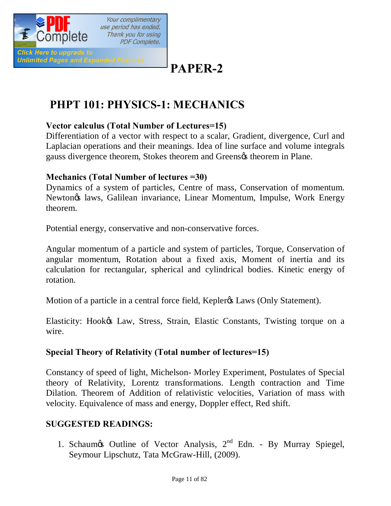

# **PAPER-2**

# **PHPT 101: PHYSICS-1: MECHANICS**

### **Vector calculus (Total Number of Lectures=15)**

Differentiation of a vector with respect to a scalar, Gradient, divergence, Curl and Laplacian operations and their meanings. Idea of line surface and volume integrals gauss divergence theorem, Stokes theorem and Greens theorem in Plane.

### **Mechanics (Total Number of lectures =30)**

Dynamics of a system of particles, Centre of mass, Conservation of momentum. Newton's laws, Galilean invariance, Linear Momentum, Impulse, Work Energy theorem.

Potential energy, conservative and non-conservative forces.

Angular momentum of a particle and system of particles, Torque, Conservation of angular momentum, Rotation about a fixed axis, Moment of inertia and its calculation for rectangular, spherical and cylindrical bodies. Kinetic energy of rotation.

Motion of a particle in a central force field, Kepler<sub>®</sub> Laws (Only Statement).

Elasticity: Hook& Law, Stress, Strain, Elastic Constants, Twisting torque on a wire.

### **Special Theory of Relativity (Total number of lectures=15)**

Constancy of speed of light, Michelson- Morley Experiment, Postulates of Special theory of Relativity, Lorentz transformations. Length contraction and Time Dilation. Theorem of Addition of relativistic velocities, Variation of mass with velocity. Equivalence of mass and energy, Doppler effect, Red shift.

### **SUGGESTED READINGS:**

1. Schaum $\infty$  Outline of Vector Analysis,  $2^{nd}$  Edn. - By Murray Spiegel, Seymour Lipschutz, Tata McGraw-Hill, (2009).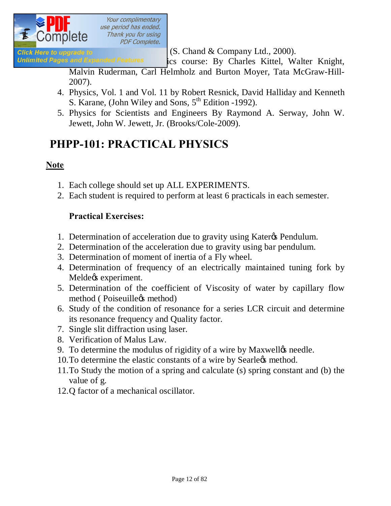

**Click Here to upgrade to 2000**. **(S. Chand & Company Ltd., 2000).** 

Unlimited Pages and Expanded Features ics course: By Charles Kittel, Walter Knight,

Malvin Ruderman, Carl Helmholz and Burton Moyer, Tata McGraw-Hill-2007).

- 4. Physics, Vol. 1 and Vol. 11 by Robert Resnick, David Halliday and Kenneth S. Karane, (John Wiley and Sons,  $5<sup>th</sup>$  Edition -1992).
- 5. Physics for Scientists and Engineers By Raymond A. Serway, John W. Jewett, John W. Jewett, Jr. (Brooks/Cole-2009).

# **PHPP-101: PRACTICAL PHYSICS**

### **Note**

- 1. Each college should set up ALL EXPERIMENTS.
- 2. Each student is required to perform at least 6 practicals in each semester.

### **Practical Exercises:**

- 1. Determination of acceleration due to gravity using Kater<sub>of</sub> Pendulum.
- 2. Determination of the acceleration due to gravity using bar pendulum.
- 3. Determination of moment of inertia of a Fly wheel.
- 4. Determination of frequency of an electrically maintained tuning fork by Melde $\alpha$  experiment.
- 5. Determination of the coefficient of Viscosity of water by capillary flow method (Poiseuille $\alpha$ s method)
- 6. Study of the condition of resonance for a series LCR circuit and determine its resonance frequency and Quality factor.
- 7. Single slit diffraction using laser.
- 8. Verification of Malus Law.
- 9. To determine the modulus of rigidity of a wire by Maxwelløs needle.
- 10. To determine the elastic constants of a wire by Searlegs method.
- 11.To Study the motion of a spring and calculate (s) spring constant and (b) the value of g.
- 12.Q factor of a mechanical oscillator.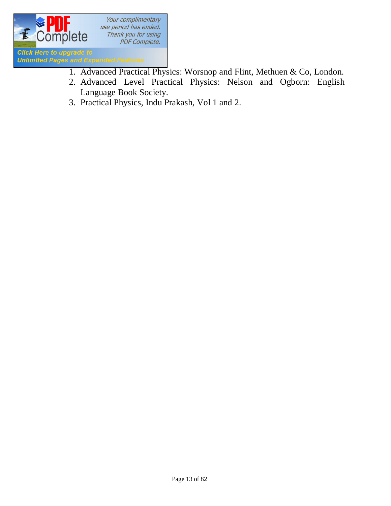

- 1. Advanced Practical Physics: Worsnop and Flint, Methuen & Co, London.
- 2. Advanced Level Practical Physics: Nelson and Ogborn: English Language Book Society.
- 3. Practical Physics, Indu Prakash, Vol 1 and 2.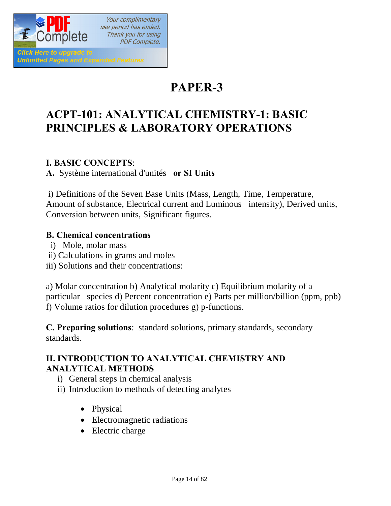

**PAPER-3**

# **ACPT-101: ANALYTICAL CHEMISTRY-1: BASIC PRINCIPLES & LABORATORY OPERATIONS**

### **I. BASIC CONCEPTS**:

**A.** Système international d'unités **or SI Units** 

i) Definitions of the Seven Base Units (Mass, Length, Time, Temperature, Amount of substance, Electrical current and Luminous intensity), Derived units, Conversion between units, Significant figures.

### **B. Chemical concentrations**

- i) Mole, molar mass
- ii) Calculations in grams and moles
- iii) Solutions and their concentrations:

a) Molar concentration b) Analytical molarity c) Equilibrium molarity of a particular species d) Percent concentration e) Parts per million/billion (ppm, ppb) f) Volume ratios for dilution procedures g) p-functions.

**C. Preparing solutions**: standard solutions, primary standards, secondary standards.

### **II. INTRODUCTION TO ANALYTICAL CHEMISTRY AND ANALYTICAL METHODS**

- i) General steps in chemical analysis
- ii) Introduction to methods of detecting analytes
	- Physical
	- · Electromagnetic radiations
	- Electric charge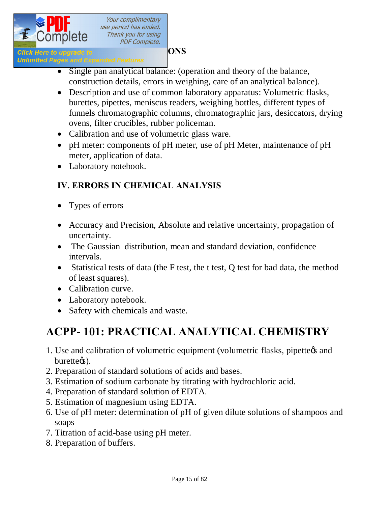

# **Industry of the Universe Constraints Constrainer CONS**<br> **Inlimited Pages and Expanded Features**

- Single pan analytical balance: (operation and theory of the balance, construction details, errors in weighing, care of an analytical balance).
- Description and use of common laboratory apparatus: Volumetric flasks, burettes, pipettes, meniscus readers, weighing bottles, different types of funnels chromatographic columns, chromatographic jars, desiccators, drying ovens, filter crucibles, rubber policeman.
- Calibration and use of volumetric glass ware.
- · pH meter: components of pH meter, use of pH Meter, maintenance of pH meter, application of data.
- · Laboratory notebook.

### **IV. ERRORS IN CHEMICAL ANALYSIS**

- Types of errors
- Accuracy and Precision, Absolute and relative uncertainty, propagation of uncertainty.
- The Gaussian distribution, mean and standard deviation, confidence intervals.
- Statistical tests of data (the F test, the t test, O test for bad data, the method of least squares).
- Calibration curve.
- Laboratory notebook.
- Safety with chemicals and waste.

# **ACPP- 101: PRACTICAL ANALYTICAL CHEMISTRY**

- 1. Use and calibration of volumetric equipment (volumetric flasks, pipette  $\alpha$  and burette<sub>(s)</sub>.
- 2. Preparation of standard solutions of acids and bases.
- 3. Estimation of sodium carbonate by titrating with hydrochloric acid.
- 4. Preparation of standard solution of EDTA.
- 5. Estimation of magnesium using EDTA.
- 6. Use of pH meter: determination of pH of given dilute solutions of shampoos and soaps
- 7. Titration of acid-base using pH meter.
- 8. Preparation of buffers.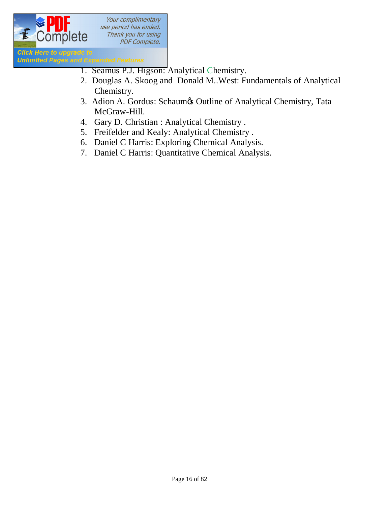

- 1. Seamus P.J. Higson: Analytical Chemistry.
	- 2. Douglas A. Skoog and Donald M..West: Fundamentals of Analytical Chemistry.
	- 3. Adion A. Gordus: Schaumøs Outline of Analytical Chemistry, Tata McGraw-Hill.
	- 4. Gary D. Christian : Analytical Chemistry .
	- 5. Freifelder and Kealy: Analytical Chemistry .
	- 6. Daniel C Harris: Exploring Chemical Analysis.
	- 7. Daniel C Harris: Quantitative Chemical Analysis.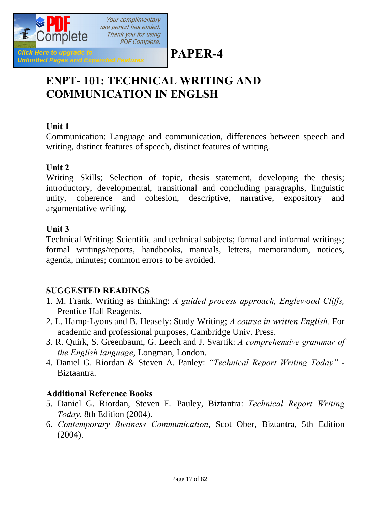

# **PAPER-4**

# **ENPT- 101: TECHNICAL WRITING AND COMMUNICATION IN ENGLSH**

### **Unit 1**

Communication: Language and communication, differences between speech and writing, distinct features of speech, distinct features of writing.

### **Unit 2**

Writing Skills; Selection of topic, thesis statement, developing the thesis; introductory, developmental, transitional and concluding paragraphs, linguistic unity, coherence and cohesion, descriptive, narrative, expository and argumentative writing.

### **Unit 3**

Technical Writing: Scientific and technical subjects; formal and informal writings; formal writings/reports, handbooks, manuals, letters, memorandum, notices, agenda, minutes; common errors to be avoided.

### **SUGGESTED READINGS**

- 1. M. Frank. Writing as thinking: *A guided process approach, Englewood Cliffs,* Prentice Hall Reagents.
- 2. L. Hamp-Lyons and B. Heasely: Study Writing; *A course in written English.* For academic and professional purposes, Cambridge Univ. Press.
- 3. R. Quirk, S. Greenbaum, G. Leech and J. Svartik: *A comprehensive grammar of the English language*, Longman, London.
- 4. Daniel G. Riordan & Steven A. Panley: *"Technical Report Writing Today"* Biztaantra.

### **Additional Reference Books**

- 5. Daniel G. Riordan, Steven E. Pauley, Biztantra: *Technical Report Writing Today*, 8th Edition (2004).
- 6. *Contemporary Business Communication*, Scot Ober, Biztantra, 5th Edition (2004).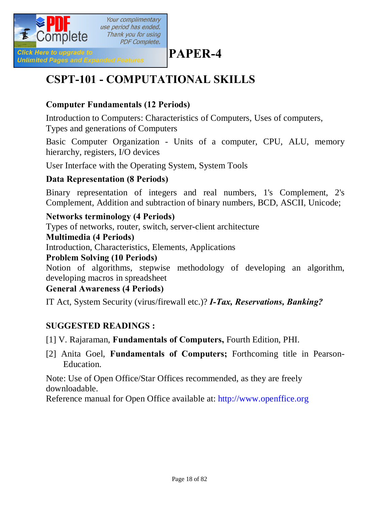

# **PAPER-4**

# **CSPT-101 - COMPUTATIONAL SKILLS**

### **Computer Fundamentals (12 Periods)**

Introduction to Computers: Characteristics of Computers, Uses of computers, Types and generations of Computers

Basic Computer Organization - Units of a computer, CPU, ALU, memory hierarchy, registers, I/O devices

User Interface with the Operating System, System Tools

### **Data Representation (8 Periods)**

Binary representation of integers and real numbers, 1's Complement, 2's Complement, Addition and subtraction of binary numbers, BCD, ASCII, Unicode;

### **Networks terminology (4 Periods)**

Types of networks, router, switch, server-client architecture

### **Multimedia (4 Periods)**

Introduction, Characteristics, Elements, Applications

### **Problem Solving (10 Periods)**

Notion of algorithms, stepwise methodology of developing an algorithm, developing macros in spreadsheet

### **General Awareness (4 Periods)**

IT Act, System Security (virus/firewall etc.)? *I-Tax, Reservations, Banking?*

### **SUGGESTED READINGS :**

[1] V. Rajaraman, **Fundamentals of Computers,** Fourth Edition, PHI.

[2] Anita Goel, **Fundamentals of Computers;** Forthcoming title in Pearson-Education.

Note: Use of Open Office/Star Offices recommended, as they are freely downloadable.

Reference manual for Open Office available at: http://www.openffice.org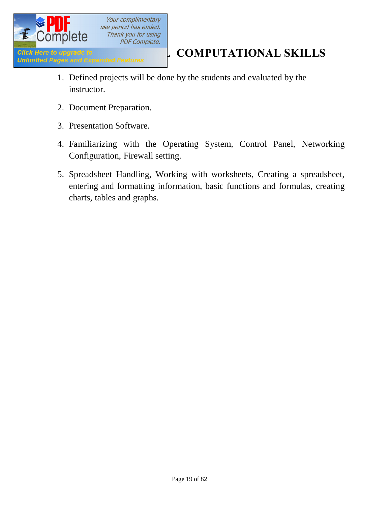

- 1. Defined projects will be done by the students and evaluated by the instructor.
- 2. Document Preparation.
- 3. Presentation Software.
- 4. Familiarizing with the Operating System, Control Panel, Networking Configuration, Firewall setting.
- 5. Spreadsheet Handling, Working with worksheets, Creating a spreadsheet, entering and formatting information, basic functions and formulas, creating charts, tables and graphs.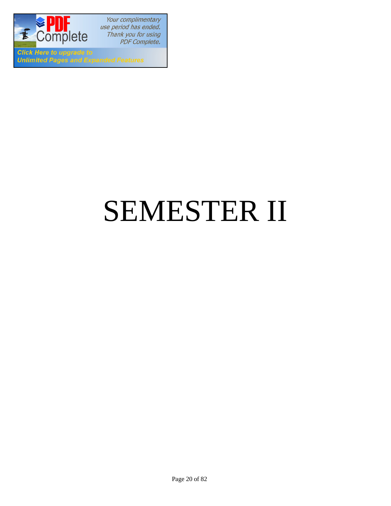

**Click Here to upgrade to Unlimited Pages and Expanded Features** 

# SEMESTER II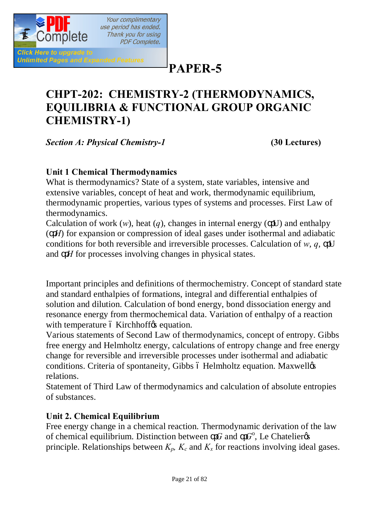

**PAPER-5**

# **CHPT-202: CHEMISTRY-2 (THERMODYNAMICS, EQUILIBRIA & FUNCTIONAL GROUP ORGANIC CHEMISTRY-1)**

*Section A: Physical Chemistry-1* **(30 Lectures)**

### **Unit 1 Chemical Thermodynamics**

What is thermodynamics? State of a system, state variables, intensive and extensive variables, concept of heat and work, thermodynamic equilibrium, thermodynamic properties, various types of systems and processes. First Law of thermodynamics.

Calculation of work  $(w)$ , heat  $(q)$ , changes in internal energy  $($  U) and enthalpy ( *H*) for expansion or compression of ideal gases under isothermal and adiabatic conditions for both reversible and irreversible processes. Calculation of *w*, *q*, U and *H* for processes involving changes in physical states.

Important principles and definitions of thermochemistry. Concept of standard state and standard enthalpies of formations, integral and differential enthalpies of solution and dilution. Calculation of bond energy, bond dissociation energy and resonance energy from thermochemical data. Variation of enthalpy of a reaction with temperature 6 Kirchhoff ts equation.

Various statements of Second Law of thermodynamics, concept of entropy. Gibbs free energy and Helmholtz energy, calculations of entropy change and free energy change for reversible and irreversible processes under isothermal and adiabatic conditions. Criteria of spontaneity, Gibbs ó Helmholtz equation. Maxwellos relations.

Statement of Third Law of thermodynamics and calculation of absolute entropies of substances.

### **Unit 2. Chemical Equilibrium**

Free energy change in a chemical reaction. Thermodynamic derivation of the law of chemical equilibrium. Distinction between  $G$  and  $G^{\circ}$ , Le Chatelier  $\circ$ principle. Relationships between  $K_p$ ,  $K_c$  and  $K_x$  for reactions involving ideal gases.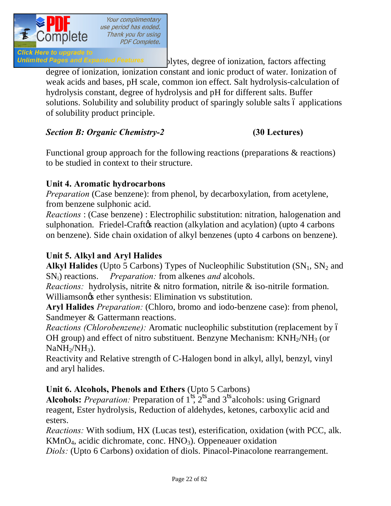

Unlimited Pages and Expanded Features blytes, degree of ionization, factors affecting degree of ionization, ionization constant and ionic product of water. Ionization of weak acids and bases, pH scale, common ion effect. Salt hydrolysis-calculation of hydrolysis constant, degree of hydrolysis and pH for different salts. Buffer solutions. Solubility and solubility product of sparingly soluble salts 6 applications of solubility product principle.

### *Section B: Organic Chemistry-2* **(30 Lectures)**

Functional group approach for the following reactions (preparations & reactions) to be studied in context to their structure.

### **Unit 4. Aromatic hydrocarbons**

*Preparation* (Case benzene): from phenol, by decarboxylation, from acetylene, from benzene sulphonic acid.

*Reactions* : (Case benzene) : Electrophilic substitution: nitration, halogenation and sulphonation. Friedel-Craft e reaction (alkylation and acylation) (upto 4 carbons on benzene). Side chain oxidation of alkyl benzenes (upto 4 carbons on benzene).

### **Unit 5. Alkyl and Aryl Halides**

**Alkyl Halides** (Upto 5 Carbons) Types of Nucleophilic Substitution  $(SN_1, SN_2$  and SNi) reactions. *Preparation:* from alkenes *and* alcohols.

*Reactions:* hydrolysis, nitrite & nitro formation, nitrile & iso-nitrile formation. Williamson $\alpha$  ether synthesis: Elimination vs substitution.

**Aryl Halides** *Preparation:* (Chloro, bromo and iodo-benzene case): from phenol, Sandmeyer & Gattermann reactions.

*Reactions (Chlorobenzene):* Aromatic nucleophilic substitution (replacement by 6 OH group) and effect of nitro substituent. Benzyne Mechanism:  $KNH<sub>2</sub>/NH<sub>3</sub>$  (or  $NaNH<sub>2</sub>/NH<sub>3</sub>$ ).

Reactivity and Relative strength of C-Halogen bond in alkyl, allyl, benzyl, vinyl and aryl halides.

### **Unit 6. Alcohols, Phenols and Ethers** (Upto 5 Carbons)

**Alcohols:** *Preparation:* Preparation of 1 , 2 and 3 alcohols: using Grignard reagent, Ester hydrolysis, Reduction of aldehydes, ketones, carboxylic acid and esters.

*Reactions:* With sodium, HX (Lucas test), esterification, oxidation (with PCC, alk.  $KMnO<sub>4</sub>$ , acidic dichromate, conc.  $HNO<sub>3</sub>$ ). Oppeneauer oxidation

*Diols:* (Upto 6 Carbons) oxidation of diols. Pinacol-Pinacolone rearrangement.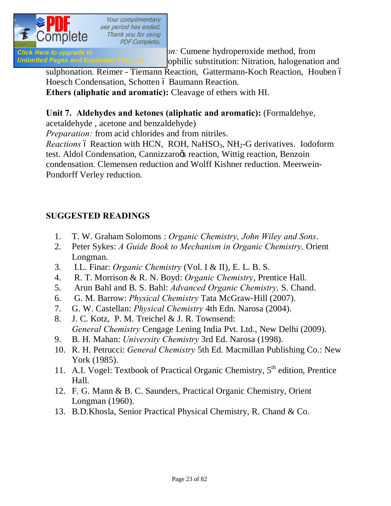

**Phenole case) Phenole case) Preparation: Phenomenol case) Preparation:** Cumene hydroperoxide method, from Unlimited Pages and Expanded Features ophilic substitution: Nitration, halogenation and

sulphonation. Reimer - Tiemann Reaction, Gattermann-Koch Reaction, Houben ó Hoesch Condensation, Schotten ó Baumann Reaction.

**Ethers (aliphatic and aromatic):** Cleavage of ethers with HI.

### **Unit 7. Aldehydes and ketones (aliphatic and aromatic):** (Formaldehye,

acetaldehyde , acetone and benzaldehyde)

*Preparation:* from acid chlorides and from nitriles.

*Reactions* 6 Reaction with HCN, ROH, NaHSO<sub>3</sub>, NH<sub>2</sub>-G derivatives. Iodoform test. Aldol Condensation, Cannizzaroos reaction, Wittig reaction, Benzoin condensation. Clemensen reduction and Wolff Kishner reduction. Meerwein-Pondorff Verley reduction.

### **SUGGESTED READINGS**

- 1. T. W. Graham Solomons : *Organic Chemistry, John Wiley and Sons*.
- 2. Peter Sykes: *A Guide Book to Mechanism in Organic Chemistry,* Orient Longman.
- 3. I.L. Finar: *Organic Chemistry* (Vol. I & II), E. L. B. S.
- 4. R. T. Morrison & R. N. Boyd: *Organic Chemistry*, Prentice Hall.
- 5. Arun Bahl and B. S. Bahl: *Advanced Organic Chemistry,* S. Chand.
- 6. G. M. Barrow: *Physical Chemistry* Tata McGraw‐Hill (2007).
- 7. G. W. Castellan: *Physical Chemistry* 4th Edn. Narosa (2004).
- 8. J. C. Kotz, P. M. Treichel & J. R. Townsend: *General Chemistry* Cengage Lening India Pvt. Ltd., New Delhi (2009).
- 9. B. H. Mahan: *University Chemistry* 3rd Ed. Narosa (1998).
- 10. R. H. Petrucci: *General Chemistry* 5th Ed. Macmillan Publishing Co.: New York (1985).
- 11. A.I. Vogel: Textbook of Practical Organic Chemistry, 5<sup>th</sup> edition, Prentice Hall.
- 12. F. G. Mann & B. C. Saunders, Practical Organic Chemistry, Orient Longman (1960).
- 13. B.D.Khosla, Senior Practical Physical Chemistry, R. Chand & Co.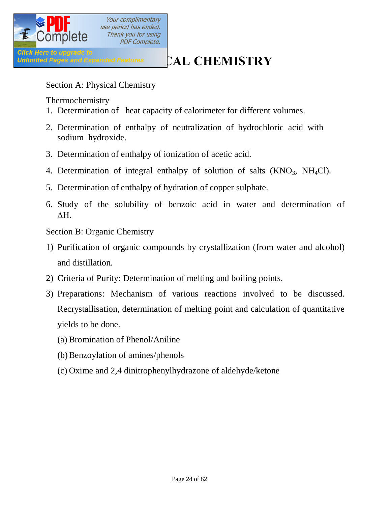

Click Here to upgrade to<br>Unlimited Pages and Expanded Features **CAL CHEMISTRY** 

### Section A: Physical Chemistry

Thermochemistry

- 1. Determination of heat capacity of calorimeter for different volumes.
- 2. Determination of enthalpy of neutralization of hydrochloric acid with sodium hydroxide.
- 3. Determination of enthalpy of ionization of acetic acid.
- 4. Determination of integral enthalpy of solution of salts  $(KNO<sub>3</sub>, NH<sub>4</sub>Cl)$ .
- 5. Determination of enthalpy of hydration of copper sulphate.
- 6. Study of the solubility of benzoic acid in water and determination of  $\Delta H$ .

### Section B: Organic Chemistry

- 1) Purification of organic compounds by crystallization (from water and alcohol) and distillation.
- 2) Criteria of Purity: Determination of melting and boiling points.
- 3) Preparations: Mechanism of various reactions involved to be discussed. Recrystallisation, determination of melting point and calculation of quantitative yields to be done.
	- (a) Bromination of Phenol/Aniline
	- (b)Benzoylation of amines/phenols
	- (c) Oxime and 2,4 dinitrophenylhydrazone of aldehyde/ketone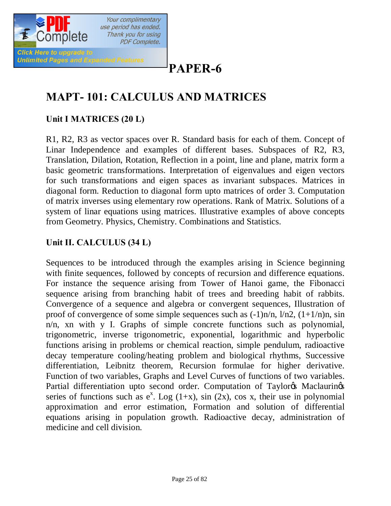

# **PAPER-6**

# **MAPT- 101: CALCULUS AND MATRICES**

### **Unit I MATRICES (20 L)**

R1, R2, R3 as vector spaces over R. Standard basis for each of them. Concept of Linar Independence and examples of different bases. Subspaces of R2, R3, Translation, Dilation, Rotation, Reflection in a point, line and plane, matrix form a basic geometric transformations. Interpretation of eigenvalues and eigen vectors for such transformations and eigen spaces as invariant subspaces. Matrices in diagonal form. Reduction to diagonal form upto matrices of order 3. Computation of matrix inverses using elementary row operations. Rank of Matrix. Solutions of a system of linar equations using matrices. Illustrative examples of above concepts from Geometry. Physics, Chemistry. Combinations and Statistics.

### **Unit II. CALCULUS (34 L)**

Sequences to be introduced through the examples arising in Science beginning with finite sequences, followed by concepts of recursion and difference equations. For instance the sequence arising from Tower of Hanoi game, the Fibonacci sequence arising from branching habit of trees and breeding habit of rabbits. Convergence of a sequence and algebra or convergent sequences, Illustration of proof of convergence of some simple sequences such as  $(-1)n/n$ ,  $1/n2$ ,  $(1+1/n)n$ , sin n/n, xn with y I. Graphs of simple concrete functions such as polynomial, trigonometric, inverse trigonometric, exponential, logarithmic and hyperbolic functions arising in problems or chemical reaction, simple pendulum, radioactive decay temperature cooling/heating problem and biological rhythms, Successive differentiation, Leibnitz theorem, Recursion formulae for higher derivative. Function of two variables, Graphs and Level Curves of functions of two variables. Partial differentiation upto second order. Computation of Taylor & Maclaurinos series of functions such as  $e^x$ . Log (1+x), sin (2x), cos x, their use in polynomial approximation and error estimation, Formation and solution of differential equations arising in population growth. Radioactive decay, administration of medicine and cell division.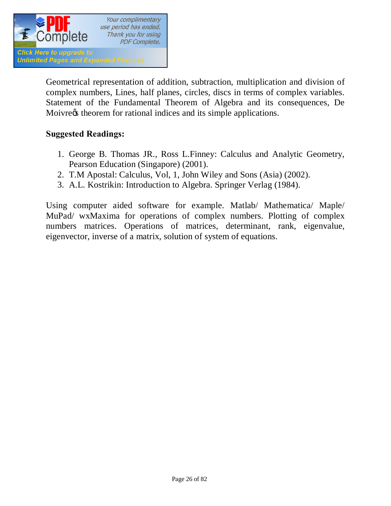

Geometrical representation of addition, subtraction, multiplication and division of complex numbers, Lines, half planes, circles, discs in terms of complex variables. Statement of the Fundamental Theorem of Algebra and its consequences, De Moivre $\alpha$  theorem for rational indices and its simple applications.

### **Suggested Readings:**

- 1. George B. Thomas JR., Ross L.Finney: Calculus and Analytic Geometry, Pearson Education (Singapore) (2001).
- 2. T.M Apostal: Calculus, Vol, 1, John Wiley and Sons (Asia) (2002).
- 3. A.L. Kostrikin: Introduction to Algebra. Springer Verlag (1984).

Using computer aided software for example. Matlab/ Mathematica/ Maple/ MuPad/ wxMaxima for operations of complex numbers. Plotting of complex numbers matrices. Operations of matrices, determinant, rank, eigenvalue, eigenvector, inverse of a matrix, solution of system of equations.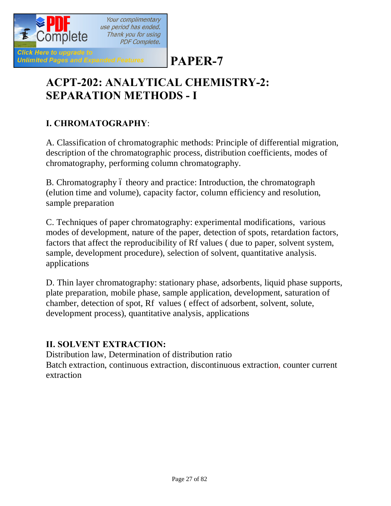

# **PAPER-7**

# **ACPT-202: ANALYTICAL CHEMISTRY-2: SEPARATION METHODS - I**

### **I. CHROMATOGRAPHY**:

A. Classification of chromatographic methods: Principle of differential migration, description of the chromatographic process, distribution coefficients, modes of chromatography, performing column chromatography.

B. Chromatography 6 theory and practice: Introduction, the chromatograph (elution time and volume), capacity factor, column efficiency and resolution, sample preparation

C. Techniques of paper chromatography: experimental modifications, various modes of development, nature of the paper, detection of spots, retardation factors, factors that affect the reproducibility of Rf values ( due to paper, solvent system, sample, development procedure), selection of solvent, quantitative analysis. applications

D. Thin layer chromatography: stationary phase, adsorbents, liquid phase supports, plate preparation, mobile phase, sample application, development, saturation of chamber, detection of spot, Rf values ( effect of adsorbent, solvent, solute, development process), quantitative analysis, applications

### **II. SOLVENT EXTRACTION:**

Distribution law, Determination of distribution ratio Batch extraction, continuous extraction, discontinuous extraction, counter current extraction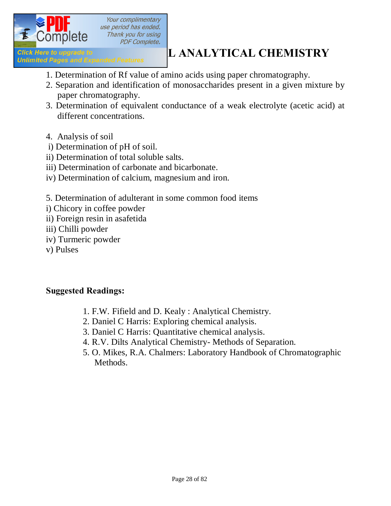

# **ACTION IS THE UPON OF A CONSERVING THE UPON OF A CHEMISTRY**<br> **2020** Unlimited Pages and Expanded Features **LANALYTICAL CHEMISTRY**

- 1. Determination of Rf value of amino acids using paper chromatography.
- 2. Separation and identification of monosaccharides present in a given mixture by paper chromatography.
- 3. Determination of equivalent conductance of a weak electrolyte (acetic acid) at different concentrations.
- 4. Analysis of soil
- i) Determination of pH of soil.
- ii) Determination of total soluble salts.
- iii) Determination of carbonate and bicarbonate.
- iv) Determination of calcium, magnesium and iron.
- 5. Determination of adulterant in some common food items
- i) Chicory in coffee powder
- ii) Foreign resin in asafetida
- iii) Chilli powder
- iv) Turmeric powder
- v) Pulses

### **Suggested Readings:**

- 1. F.W. Fifield and D. Kealy : Analytical Chemistry.
- 2. Daniel C Harris: Exploring chemical analysis.
- 3. Daniel C Harris: Quantitative chemical analysis.
- 4. R.V. Dilts Analytical Chemistry- Methods of Separation.
- 5. O. Mikes, R.A. Chalmers: Laboratory Handbook of Chromatographic Methods.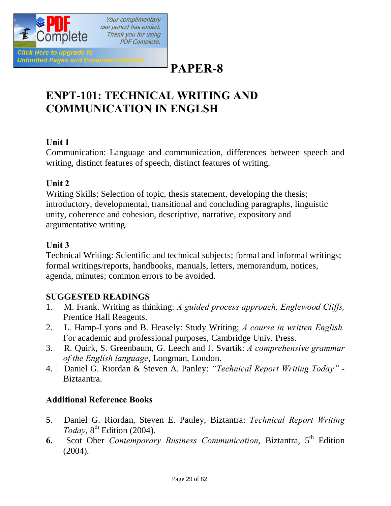

# **PAPER-8**

# **ENPT-101: TECHNICAL WRITING AND COMMUNICATION IN ENGLSH**

### **Unit 1**

Communication: Language and communication, differences between speech and writing, distinct features of speech, distinct features of writing.

### **Unit 2**

Writing Skills; Selection of topic, thesis statement, developing the thesis; introductory, developmental, transitional and concluding paragraphs, linguistic unity, coherence and cohesion, descriptive, narrative, expository and argumentative writing.

### **Unit 3**

Technical Writing: Scientific and technical subjects; formal and informal writings; formal writings/reports, handbooks, manuals, letters, memorandum, notices, agenda, minutes; common errors to be avoided.

### **SUGGESTED READINGS**

- 1. M. Frank. Writing as thinking: *A guided process approach, Englewood Cliffs,* Prentice Hall Reagents.
- 2. L. Hamp-Lyons and B. Heasely: Study Writing; *A course in written English.* For academic and professional purposes, Cambridge Univ. Press.
- 3. R. Quirk, S. Greenbaum, G. Leech and J. Svartik: *A comprehensive grammar of the English language*, Longman, London.
- 4. Daniel G. Riordan & Steven A. Panley: *"Technical Report Writing Today"* Biztaantra.

### **Additional Reference Books**

- 5. Daniel G. Riordan, Steven E. Pauley, Biztantra: *Technical Report Writing Today*, 8<sup>th</sup> Edition (2004).
- **6.** Scot Ober *Contemporary Business Communication*, Biztantra, 5<sup>th</sup> Edition (2004).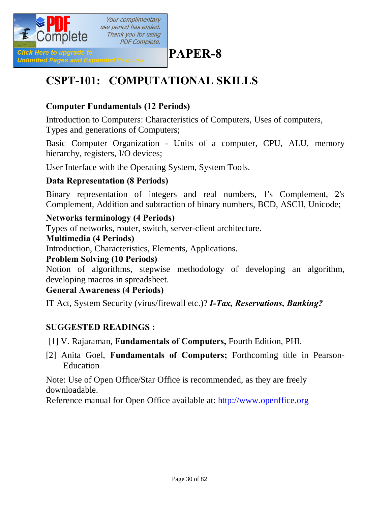

# **PAPER-8**

# **CSPT-101: COMPUTATIONAL SKILLS**

### **Computer Fundamentals (12 Periods)**

Introduction to Computers: Characteristics of Computers, Uses of computers, Types and generations of Computers;

Basic Computer Organization - Units of a computer, CPU, ALU, memory hierarchy, registers, I/O devices;

User Interface with the Operating System, System Tools.

### **Data Representation (8 Periods)**

Binary representation of integers and real numbers, 1's Complement, 2's Complement, Addition and subtraction of binary numbers, BCD, ASCII, Unicode;

### **Networks terminology (4 Periods)**

Types of networks, router, switch, server-client architecture.

### **Multimedia (4 Periods)**

Introduction, Characteristics, Elements, Applications.

### **Problem Solving (10 Periods)**

Notion of algorithms, stepwise methodology of developing an algorithm, developing macros in spreadsheet.

### **General Awareness (4 Periods)**

IT Act, System Security (virus/firewall etc.)? *I-Tax, Reservations, Banking?*

### **SUGGESTED READINGS :**

[1] V. Rajaraman, **Fundamentals of Computers,** Fourth Edition, PHI.

[2] Anita Goel, **Fundamentals of Computers;** Forthcoming title in Pearson-Education

Note: Use of Open Office/Star Office is recommended, as they are freely downloadable.

Reference manual for Open Office available at: http://www.openffice.org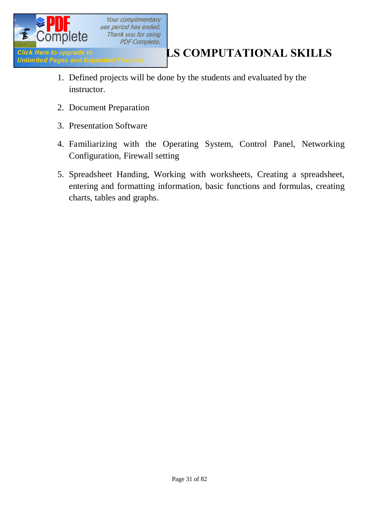

- 1. Defined projects will be done by the students and evaluated by the instructor.
- 2. Document Preparation
- 3. Presentation Software
- 4. Familiarizing with the Operating System, Control Panel, Networking Configuration, Firewall setting
- 5. Spreadsheet Handing, Working with worksheets, Creating a spreadsheet, entering and formatting information, basic functions and formulas, creating charts, tables and graphs.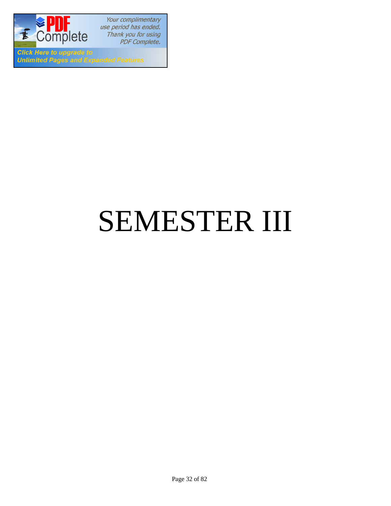

**Click Here to upgrade to Unlimited Pages and Expanded Features** 

# SEMESTER III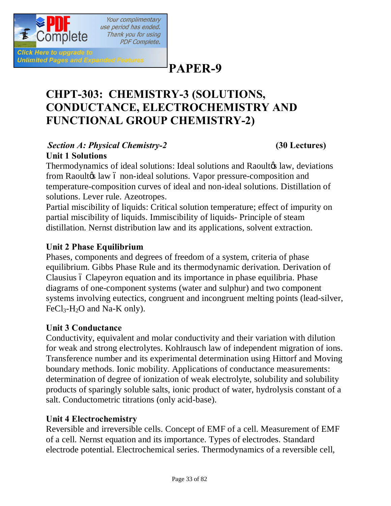

Click Here to upgrade to

**Unlimited Pages and Expanded Features** 

**PAPER-9**

# **CHPT-303: CHEMISTRY-3 (SOLUTIONS, CONDUCTANCE, ELECTROCHEMISTRY AND FUNCTIONAL GROUP CHEMISTRY-2)**

### *Section A: Physical Chemistry-2* **(30 Lectures) Unit 1 Solutions**

Your complimentary use period has ended. Thank you for using **PDF Complete.** 

Thermodynamics of ideal solutions: Ideal solutions and Raoultos law, deviations from Raoulto law 6 non-ideal solutions. Vapor pressure-composition and temperature-composition curves of ideal and non-ideal solutions. Distillation of solutions. Lever rule. Azeotropes.

Partial miscibility of liquids: Critical solution temperature; effect of impurity on partial miscibility of liquids. Immiscibility of liquids- Principle of steam distillation. Nernst distribution law and its applications, solvent extraction.

### **Unit 2 Phase Equilibrium**

Phases, components and degrees of freedom of a system, criteria of phase equilibrium. Gibbs Phase Rule and its thermodynamic derivation. Derivation of Clausius ó Clapeyron equation and its importance in phase equilibria. Phase diagrams of one-component systems (water and sulphur) and two component systems involving eutectics, congruent and incongruent melting points (lead-silver,  $FeCl<sub>3</sub>-H<sub>2</sub>O$  and Na-K only).

### **Unit 3 Conductance**

Conductivity, equivalent and molar conductivity and their variation with dilution for weak and strong electrolytes. Kohlrausch law of independent migration of ions. Transference number and its experimental determination using Hittorf and Moving boundary methods. Ionic mobility. Applications of conductance measurements: determination of degree of ionization of weak electrolyte, solubility and solubility products of sparingly soluble salts, ionic product of water, hydrolysis constant of a salt. Conductometric titrations (only acid-base).

### **Unit 4 Electrochemistry**

Reversible and irreversible cells. Concept of EMF of a cell. Measurement of EMF of a cell. Nernst equation and its importance. Types of electrodes. Standard electrode potential. Electrochemical series. Thermodynamics of a reversible cell,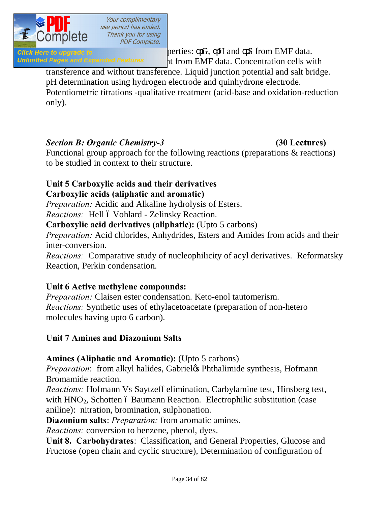

Click Here to upgrade to  $\rho$  berties:  $G$ ,  $H$  and  $S$  from EMF data. Unlimited Pages and Expanded Features 11 from EMF data. Concentration cells with

transference and without transference. Liquid junction potential and salt bridge. pH determination using hydrogen electrode and quinhydrone electrode. Potentiometric titrations -qualitative treatment (acid-base and oxidation-reduction

only).

### *Section B: Organic Chemistry-3* **(30 Lectures)**

Functional group approach for the following reactions (preparations & reactions) to be studied in context to their structure.

### **Unit 5 Carboxylic acids and their derivatives**

### **Carboxylic acids (aliphatic and aromatic)**

*Preparation:* Acidic and Alkaline hydrolysis of Esters.

*Reactions:* Hell ó Vohlard - Zelinsky Reaction.

**Carboxylic acid derivatives (aliphatic):** (Upto 5 carbons)

*Preparation:* Acid chlorides, Anhydrides, Esters and Amides from acids and their inter-conversion.

*Reactions:* Comparative study of nucleophilicity of acyl derivatives. Reformatsky Reaction, Perkin condensation.

### **Unit 6 Active methylene compounds:**

*Preparation:* Claisen ester condensation. Keto-enol tautomerism. *Reactions:* Synthetic uses of ethylacetoacetate (preparation of non-hetero molecules having upto 6 carbon).

### **Unit 7 Amines and Diazonium Salts**

### **Amines (Aliphatic and Aromatic):** (Upto 5 carbons)

*Preparation*: from alkyl halides, Gabriel & Phthalimide synthesis, Hofmann Bromamide reaction.

*Reactions:* Hofmann Vs Saytzeff elimination, Carbylamine test, Hinsberg test, with HNO<sub>2</sub>, Schotten 6 Baumann Reaction. Electrophilic substitution (case aniline): nitration, bromination, sulphonation.

**Diazonium salts**: *Preparation:* from aromatic amines.

*Reactions:* conversion to benzene, phenol, dyes.

**Unit 8. Carbohydrates**: Classification, and General Properties, Glucose and Fructose (open chain and cyclic structure), Determination of configuration of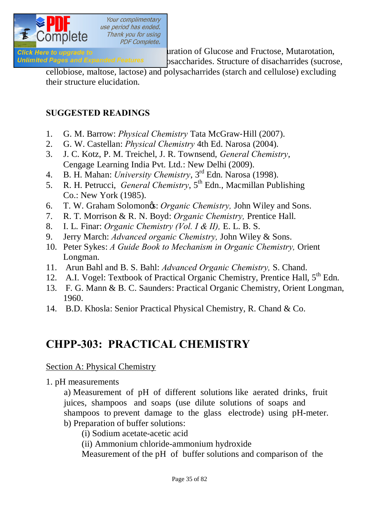

**Click Here to upgrade to non- monoclarides** absolute configuration of Glucose and Fructose, Mutarotation,

Unlimited Pages and Expanded Features osaccharides. Structure of disacharrides (sucrose,

cellobiose, maltose, lactose) and polysacharrides (starch and cellulose) excluding their structure elucidation.

### **SUGGESTED READINGS**

- 1. G. M. Barrow: *Physical Chemistry* Tata McGraw‐Hill (2007).
- 2. G. W. Castellan: *Physical Chemistry* 4th Ed. Narosa (2004).
- 3. J. C. Kotz, P. M. Treichel, J. R. Townsend, *General Chemistry*, Cengage Learning India Pvt. Ltd.: New Delhi (2009).
- 4. B. H. Mahan: *University Chemistry*, 3rd Edn. Narosa (1998).
- 5. R. H. Petrucci, *General Chemistry*, 5<sup>th</sup> Edn., Macmillan Publishing Co.: New York (1985).
- 6. T. W. Graham Solomon's: *Organic Chemistry,* John Wiley and Sons.
- 7. R. T. Morrison & R. N. Boyd: *Organic Chemistry,* Prentice Hall.
- 8. I. L. Finar: *Organic Chemistry (Vol. I & II),* E. L. B. S.
- 9. Jerry March: *Advanced organic Chemistry,* John Wiley & Sons.
- 10. Peter Sykes: *A Guide Book to Mechanism in Organic Chemistry,* Orient Longman.
- 11. Arun Bahl and B. S. Bahl: *Advanced Organic Chemistry,* S. Chand.
- 12. A.I. Vogel: Textbook of Practical Organic Chemistry, Prentice Hall, 5<sup>th</sup> Edn.
- 13. F. G. Mann & B. C. Saunders: Practical Organic Chemistry, Orient Longman, 1960.
- 14. B.D. Khosla: Senior Practical Physical Chemistry, R. Chand & Co.

### **CHPP-303: PRACTICAL CHEMISTRY**

### Section A: Physical Chemistry

1. pH measurements

a) Measurement of pH of different solutions like aerated drinks, fruit juices, shampoos and soaps (use dilute solutions of soaps and shampoos to prevent damage to the glass electrode) using pH-meter. b) Preparation of buffer solutions:

(i) Sodium acetate-acetic acid

(ii) Ammonium chloride-ammonium hydroxide

Measurement of the pH of buffer solutions and comparison of the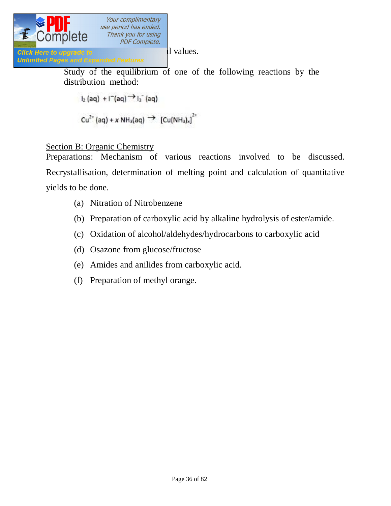

Study of the equilibrium of one of the following reactions by the distribution method:

$$
I_2(aq) + I^-(aq) \rightarrow I_3^-(aq)
$$

$$
Cu^{2+}(aq) + x NH_3(aq) \rightarrow [Cu(NH_3)_x]^{2+}
$$

### Section B: Organic Chemistry

Preparations: Mechanism of various reactions involved to be discussed. Recrystallisation, determination of melting point and calculation of quantitative yields to be done.

- (a) Nitration of Nitrobenzene
- (b) Preparation of carboxylic acid by alkaline hydrolysis of ester/amide.
- (c) Oxidation of alcohol/aldehydes/hydrocarbons to carboxylic acid
- (d) Osazone from glucose/fructose
- (e) Amides and anilides from carboxylic acid.
- (f) Preparation of methyl orange.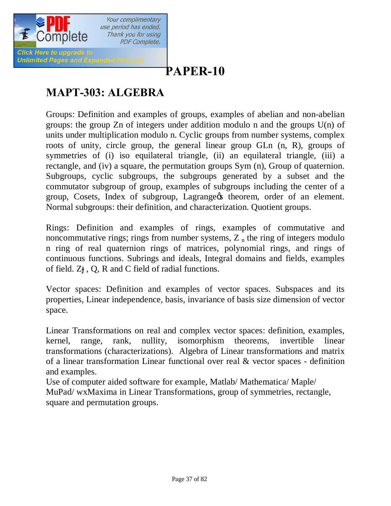

# **[P](http://www.pdfcomplete.com/cms/hppl/tabid/108/Default.aspx?r=q8b3uige22)APER-10**

# **MAPT-303: ALGEBRA**

Groups: Definition and examples of groups, examples of abelian and non-abelian groups: the group Zn of integers under addition modulo n and the groups U(n) of units under multiplication modulo n. Cyclic groups from number systems, complex roots of unity, circle group, the general linear group GLn (n, R), groups of symmetries of (i) iso equilateral triangle, (ii) an equilateral triangle, (iii) a rectangle, and (iv) a square, the permutation groups Sym (n), Group of quaternion. Subgroups, cyclic subgroups, the subgroups generated by a subset and the commutator subgroup of group, examples of subgroups including the center of a group, Cosets, Index of subgroup, Lagrange theorem, order of an element. Normal subgroups: their definition, and characterization. Quotient groups.

Rings: Definition and examples of rings, examples of commutative and noncommutative rings; rings from number systems,  $Z<sub>n</sub>$  the ring of integers modulo n ring of real quaternion rings of matrices, polynomial rings, and rings of continuous functions. Subrings and ideals, Integral domains and fields, examples of field. Z , Q, R and C field of radial functions.

Vector spaces: Definition and examples of vector spaces. Subspaces and its properties, Linear independence, basis, invariance of basis size dimension of vector space.

Linear Transformations on real and complex vector spaces: definition, examples, kernel, range, rank, nullity, isomorphism theorems, invertible linear transformations (characterizations). Algebra of Linear transformations and matrix of a linear transformation Linear functional over real & vector spaces - definition and examples.

Use of computer aided software for example, Matlab/ Mathematica/ Maple/ MuPad/ wxMaxima in Linear Transformations, group of symmetries, rectangle, square and permutation groups.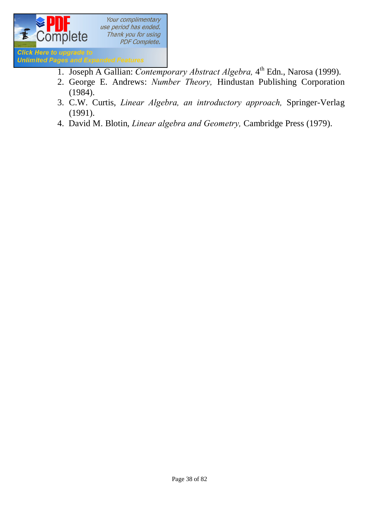

- 1. Joseph A Gallian: *Contemporary Abstract Algebra*, 4<sup>th</sup> Edn., Narosa (1999).
- 2. George E. Andrews: *Number Theory,* Hindustan Publishing Corporation (1984).
- 3. C.W. Curtis, *Linear Algebra, an introductory approach,* Springer-Verlag (1991).
- 4. David M. Blotin, *Linear algebra and Geometry,* Cambridge Press (1979).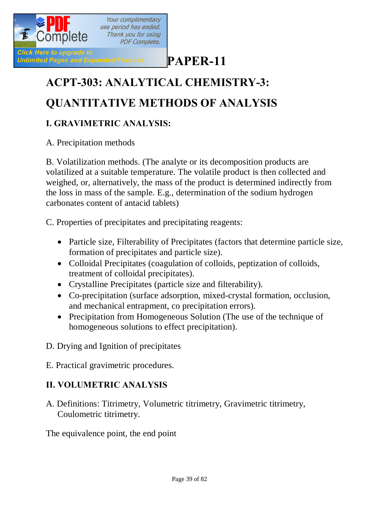

# **[P](http://www.pdfcomplete.com/cms/hppl/tabid/108/Default.aspx?r=q8b3uige22)APER-11**

# **ACPT-303: ANALYTICAL CHEMISTRY-3: QUANTITATIVE METHODS OF ANALYSIS**

## **I. GRAVIMETRIC ANALYSIS:**

A. Precipitation methods

B. Volatilization methods. (The analyte or its decomposition products are volatilized at a suitable temperature. The volatile product is then collected and weighed, or, alternatively, the mass of the product is determined indirectly from the loss in mass of the sample. E.g., determination of the sodium hydrogen carbonates content of antacid tablets)

C. Properties of precipitates and precipitating reagents:

- Particle size, Filterability of Precipitates (factors that determine particle size, formation of precipitates and particle size).
- · Colloidal Precipitates (coagulation of colloids, peptization of colloids, treatment of colloidal precipitates).
- · Crystalline Precipitates (particle size and filterability).
- · Co-precipitation (surface adsorption, mixed-crystal formation, occlusion, and mechanical entrapment, co precipitation errors).
- Precipitation from Homogeneous Solution (The use of the technique of homogeneous solutions to effect precipitation).
- D. Drying and Ignition of precipitates
- E. Practical gravimetric procedures.

#### **II. VOLUMETRIC ANALYSIS**

A. Definitions: Titrimetry, Volumetric titrimetry, Gravimetric titrimetry, Coulometric titrimetry.

The equivalence point, the end point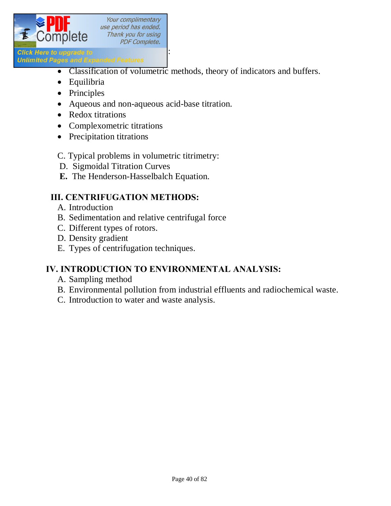

- · Classification of volumetric methods, theory of indicators and buffers.
- · Equilibria

**Unlimited Pages and Expanded Features** 

- Principles
- · Aqueous and non-aqueous acid-base titration.
- Redox titrations
- Complexometric titrations
- Precipitation titrations

#### C. Typical problems in volumetric titrimetry:

- D. Sigmoidal Titration Curves
- **E.** The Henderson-Hasselbalch Equation.

#### **III. CENTRIFUGATION METHODS:**

- A. Introduction
- B. Sedimentation and relative centrifugal force
- C. Different types of rotors.
- D. Density gradient
- E. Types of centrifugation techniques.

#### **IV. INTRODUCTION TO ENVIRONMENTAL ANALYSIS:**

- A. Sampling method
- B. Environmental pollution from industrial effluents and radiochemical waste.
- C. Introduction to water and waste analysis.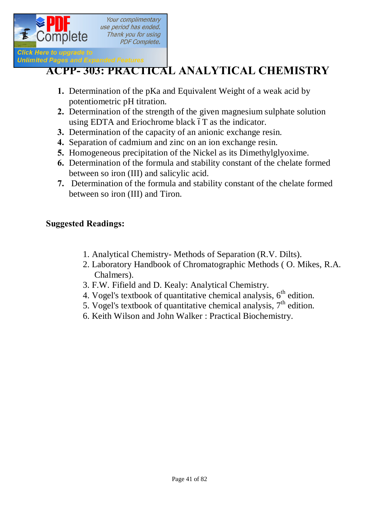

# **ACPP- [303: PRACTICA](http://www.pdfcomplete.com/cms/hppl/tabid/108/Default.aspx?r=q8b3uige22)L ANALYTICAL CHEMISTRY**

- **1.** Determination of the pKa and Equivalent Weight of a weak acid by potentiometric pH titration.
- **2.** Determination of the strength of the given magnesium sulphate solution using EDTA and Eriochrome black  $6T$  as the indicator.
- **3.** Determination of the capacity of an anionic exchange resin.
- **4.** Separation of cadmium and zinc on an ion exchange resin.
- **5.** Homogeneous precipitation of the Nickel as its Dimethylglyoxime.
- **6.** Determination of the formula and stability constant of the chelate formed between so iron (III) and salicylic acid.
- **7.** Determination of the formula and stability constant of the chelate formed between so iron (III) and Tiron.

#### **Suggested Readings:**

- 1. Analytical Chemistry- Methods of Separation (R.V. Dilts).
- 2. Laboratory Handbook of Chromatographic Methods ( O. Mikes, R.A. Chalmers).
- 3. F.W. Fifield and D. Kealy: Analytical Chemistry.
- 4. Vogel's textbook of quantitative chemical analysis,  $6<sup>th</sup>$  edition.
- 5. Vogel's textbook of quantitative chemical analysis,  $7<sup>th</sup>$  edition.
- 6. Keith Wilson and John Walker : Practical Biochemistry.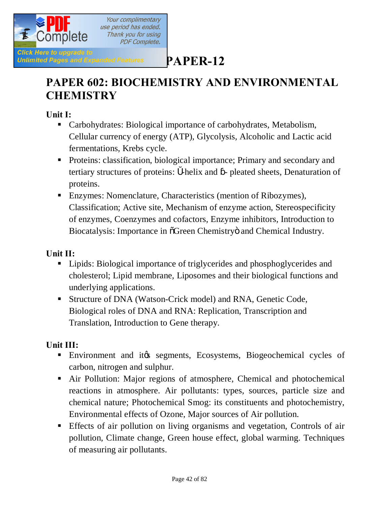

# **PAPER 602: BIOCHEMISTRY AND ENVIRONMENTAL CHEMISTRY**

**Unit I:** 

- Carbohydrates: Biological importance of carbohydrates, Metabolism, Cellular currency of energy (ATP), Glycolysis, Alcoholic and Lactic acid fermentations, Krebs cycle.
- **•** Proteins: classification, biological importance; Primary and secondary and tertiary structures of proteins: -helix and - pleated sheets, Denaturation of proteins.
- Enzymes: Nomenclature, Characteristics (mention of Ribozymes), Classification; Active site, Mechanism of enzyme action, Stereospecificity of enzymes, Coenzymes and cofactors, Enzyme inhibitors, Introduction to Biocatalysis: Importance in  $\tilde{O}$ Green Chemistry and Chemical Industry.

#### **Unit II:**

- Lipids: Biological importance of triglycerides and phosphoglycerides and cholesterol; Lipid membrane, Liposomes and their biological functions and underlying applications.
- **Structure of DNA (Watson-Crick model) and RNA, Genetic Code,** Biological roles of DNA and RNA: Replication, Transcription and Translation, Introduction to Gene therapy.

#### **Unit III:**

- **Environment and it is segments, Ecosystems, Biogeochemical cycles of** carbon, nitrogen and sulphur.
- Air Pollution: Major regions of atmosphere, Chemical and photochemical reactions in atmosphere. Air pollutants: types, sources, particle size and chemical nature; Photochemical Smog: its constituents and photochemistry, Environmental effects of Ozone, Major sources of Air pollution.
- ß Effects of air pollution on living organisms and vegetation, Controls of air pollution, Climate change, Green house effect, global warming. Techniques of measuring air pollutants.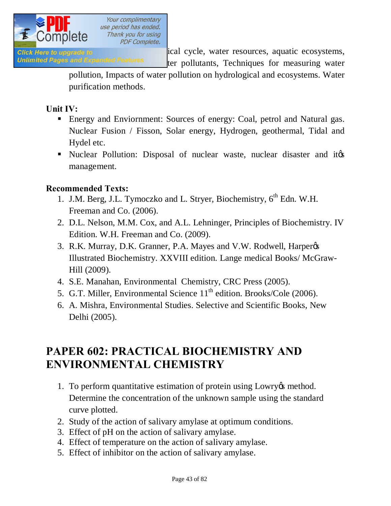

Glick Here to upgrade to **EXECUTE:** Hydrogical cycle, water resources, aquatic ecosystems, Unlimited Pages and Expanded Features ter pollutants, Techniques for measuring water

> pollution, Impacts of water pollution on hydrological and ecosystems. Water purification methods.

#### **Unit IV:**

- Energy and Enviornment: Sources of energy: Coal, petrol and Natural gas. Nuclear Fusion / Fisson, Solar energy, Hydrogen, geothermal, Tidal and Hydel etc.
- In Nuclear Pollution: Disposal of nuclear waste, nuclear disaster and ites management.

#### **Recommended Texts:**

- 1. J.M. Berg, J.L. Tymoczko and L. Stryer, Biochemistry, 6<sup>th</sup> Edn. W.H. Freeman and Co. (2006).
- 2. D.L. Nelson, M.M. Cox, and A.L. Lehninger, Principles of Biochemistry. IV Edition. W.H. Freeman and Co. (2009).
- 3. R.K. Murray, D.K. Granner, P.A. Mayes and V.W. Rodwell, Harper  $\alpha$ Illustrated Biochemistry. XXVIII edition. Lange medical Books/ McGraw-Hill (2009).
- 4. S.E. Manahan, Environmental Chemistry, CRC Press (2005).
- 5. G.T. Miller, Environmental Science 11<sup>th</sup> edition. Brooks/Cole (2006).
- 6. A. Mishra, Environmental Studies. Selective and Scientific Books, New Delhi (2005).

# **PAPER 602: PRACTICAL BIOCHEMISTRY AND ENVIRONMENTAL CHEMISTRY**

- 1. To perform quantitative estimation of protein using Lowry essmethod. Determine the concentration of the unknown sample using the standard curve plotted.
- 2. Study of the action of salivary amylase at optimum conditions.
- 3. Effect of pH on the action of salivary amylase.
- 4. Effect of temperature on the action of salivary amylase.
- 5. Effect of inhibitor on the action of salivary amylase.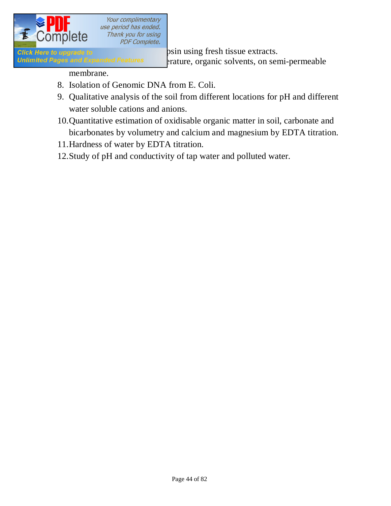

**Click Here to upgrade to Study of Trypsin using fresh tissue extracts.** Unlimited Pages and Expanded Features expanture, organic solvents, on semi-permeable

membrane.

- 8. Isolation of Genomic DNA from E. Coli.
- 9. Qualitative analysis of the soil from different locations for pH and different water soluble cations and anions.
- 10.Quantitative estimation of oxidisable organic matter in soil, carbonate and bicarbonates by volumetry and calcium and magnesium by EDTA titration.
- 11.Hardness of water by EDTA titration.
- 12.Study of pH and conductivity of tap water and polluted water.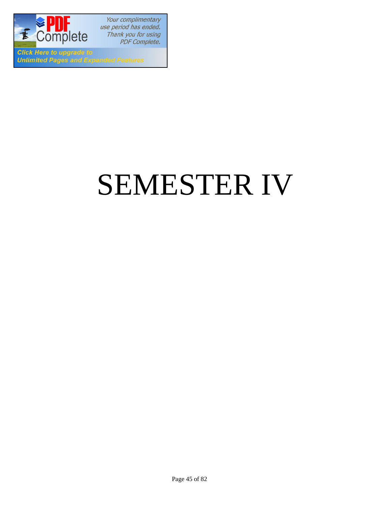

**Click Here to upgrade to Unlimited Pages and Expanded Features** 

# SEMESTER IV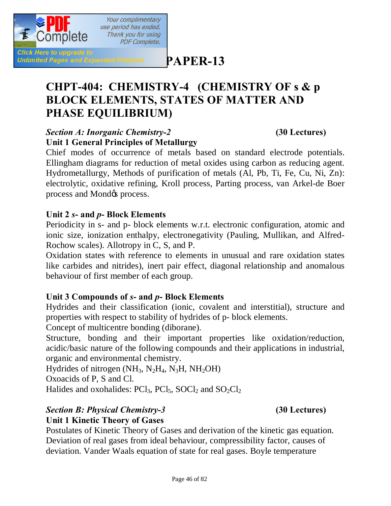

**[P](http://www.pdfcomplete.com/cms/hppl/tabid/108/Default.aspx?r=q8b3uige22)APER-13**

# **CHPT-404: CHEMISTRY-4 (CHEMISTRY OF s & p BLOCK ELEMENTS, STATES OF MATTER AND PHASE EQUILIBRIUM)**

#### *Section A: Inorganic Chemistry-2* **(30 Lectures) Unit 1 General Principles of Metallurgy**

Chief modes of occurrence of metals based on standard electrode potentials. Ellingham diagrams for reduction of metal oxides using carbon as reducing agent. Hydrometallurgy, Methods of purification of metals (Al, Pb, Ti, Fe, Cu, Ni, Zn): electrolytic, oxidative refining, Kroll process, Parting process, van Arkel-de Boer process and Mond $\alpha$  process.

#### **Unit 2** *s***- and** *p***- Block Elements**

Periodicity in s- and p- block elements w.r.t. electronic configuration, atomic and ionic size, ionization enthalpy, electronegativity (Pauling, Mullikan, and Alfred-Rochow scales). Allotropy in C, S, and P.

Oxidation states with reference to elements in unusual and rare oxidation states like carbides and nitrides), inert pair effect, diagonal relationship and anomalous behaviour of first member of each group.

#### **Unit 3 Compounds of** *s***- and** *p***- Block Elements**

Hydrides and their classification (ionic, covalent and interstitial), structure and properties with respect to stability of hydrides of p- block elements.

Concept of multicentre bonding (diborane).

Structure, bonding and their important properties like oxidation/reduction, acidic/basic nature of the following compounds and their applications in industrial, organic and environmental chemistry.

Hydrides of nitrogen  $(NH_3, N_2H_4, N_3H, NH_2OH)$ 

Oxoacids of P, S and Cl.

Halides and oxohalides:  $PCl_3$ ,  $PCl_5$ ,  $SOCl_2$  and  $SO_2Cl_2$ 

#### *Section B: Physical Chemistry-3* **(30 Lectures)**

#### **Unit 1 Kinetic Theory of Gases**

Postulates of Kinetic Theory of Gases and derivation of the kinetic gas equation. Deviation of real gases from ideal behaviour, compressibility factor, causes of deviation. Vander Waals equation of state for real gases. Boyle temperature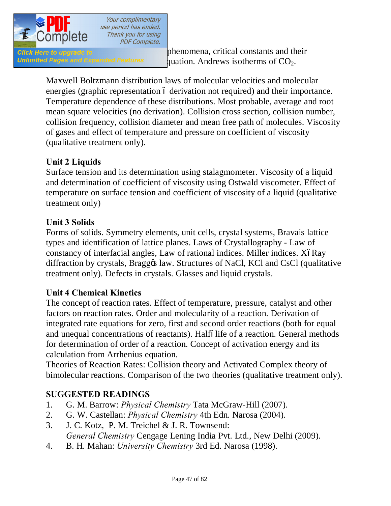

Unlimited Pages and Expanded Features quation. Andrews isotherms of  $CO<sub>2</sub>$ .

Maxwell Boltzmann distribution laws of molecular velocities and molecular energies (graphic representation 6 derivation not required) and their importance. Temperature dependence of these distributions. Most probable, average and root mean square velocities (no derivation). Collision cross section, collision number, collision frequency, collision diameter and mean free path of molecules. Viscosity of gases and effect of temperature and pressure on coefficient of viscosity (qualitative treatment only).

#### **Unit 2 Liquids**

Surface tension and its determination using stalagmometer. Viscosity of a liquid and determination of coefficient of viscosity using Ostwald viscometer. Effect of temperature on surface tension and coefficient of viscosity of a liquid (qualitative treatment only)

#### **Unit 3 Solids**

Forms of solids. Symmetry elements, unit cells, crystal systems, Bravais lattice types and identification of lattice planes. Laws of Crystallography - Law of constancy of interfacial angles, Law of rational indices. Miller indices. XóRay diffraction by crystals, Braggos law. Structures of NaCl, KCl and CsCl (qualitative treatment only). Defects in crystals. Glasses and liquid crystals.

#### **Unit 4 Chemical Kinetics**

The concept of reaction rates. Effect of temperature, pressure, catalyst and other factors on reaction rates. Order and molecularity of a reaction. Derivation of integrated rate equations for zero, first and second order reactions (both for equal and unequal concentrations of reactants). Halfólife of a reaction. General methods for determination of order of a reaction. Concept of activation energy and its calculation from Arrhenius equation.

Theories of Reaction Rates: Collision theory and Activated Complex theory of bimolecular reactions. Comparison of the two theories (qualitative treatment only).

#### **SUGGESTED READINGS**

- 1. G. M. Barrow: *Physical Chemistry* Tata McGraw‐Hill (2007).
- 2. G. W. Castellan: *Physical Chemistry* 4th Edn. Narosa (2004).
- 3. J. C. Kotz, P. M. Treichel & J. R. Townsend: *General Chemistry* Cengage Lening India Pvt. Ltd., New Delhi (2009).
- 4. B. H. Mahan: *University Chemistry* 3rd Ed. Narosa (1998).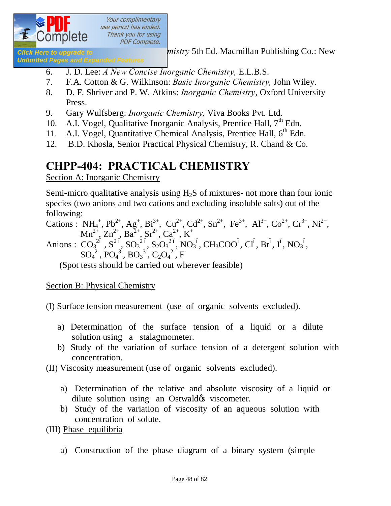

**Glick Here to upgrade to** *mistry* 5th Ed. Macmillan Publishing Co.: New

**Unlimited Pages and Expanded Features** 

- 6. J. D. Lee: *A New Concise Inorganic Chemistry,* E.L.B.S.
- 7. F.A. Cotton & G. Wilkinson: *Basic Inorganic Chemistry,* John Wiley.
- 8. D. F. Shriver and P. W. Atkins: *Inorganic Chemistry*, Oxford University Press.
- 9. Gary Wulfsberg: *Inorganic Chemistry,* Viva Books Pvt. Ltd.
- 10. A.I. Vogel, Qualitative Inorganic Analysis, Prentice Hall,  $7<sup>th</sup>$  Edn.
- 11. A.I. Vogel, Quantitative Chemical Analysis, Prentice Hall, 6<sup>th</sup> Edn.
- 12. B.D. Khosla, Senior Practical Physical Chemistry, R. Chand & Co.

# **CHPP-404: PRACTICAL CHEMISTRY**

Section A: Inorganic Chemistry

Semi-micro qualitative analysis using  $H<sub>2</sub>S$  of mixtures- not more than four ionic species (two anions and two cations and excluding insoluble salts) out of the following:

Cations :  $NH_4^+$ ,  $Pb^{2+}$ ,  $Ag^+$ ,  $Bi^{3+}$ ,  $Cu^{2+}$ ,  $Cd^{2+}$ ,  $Sn^{2+}$ ,  $Fe^{3+}$ ,  $Al^{3+}$ ,  $Co^{2+}$ ,  $Cr^{3+}$ ,  $Ni^{2+}$ ,  $Mn^{2+}, Zn^{2+}, Ba^{2+}, Sr^{2+}, Ca^{2+}, K^+$ Anions :  $CO_3^{26}$ ,  $S^2^{6}$ ,  $SO_3^{26}$ ,  $S_2O_3^{26}$ ,  $NO_3^6$ ,  $CH_3COO^6$ ,  $Cl^6$ ,  $Br^6$ ,  $I^6$ ,  $NO_3^6$ ,  $SO_4^2$ <sup>2</sup>,  $PO_4^3$ <sup>3</sup>,  $BO_3^3$ <sup>3</sup>,  $C_2O_4^2$ <sup>2</sup>, F

(Spot tests should be carried out wherever feasible)

Section B: Physical Chemistry

(I) Surface tension measurement (use of organic solvents excluded).

- a) Determination of the surface tension of a liquid or a dilute solution using a stalagmometer.
- b) Study of the variation of surface tension of a detergent solution with concentration.
- (II) Viscosity measurement (use of organic solvents excluded).
	- a) Determination of the relative and absolute viscosity of a liquid or dilute solution using an Ostwald & viscometer.
	- b) Study of the variation of viscosity of an aqueous solution with concentration of solute.

(III) Phase equilibria

a) Construction of the phase diagram of a binary system (simple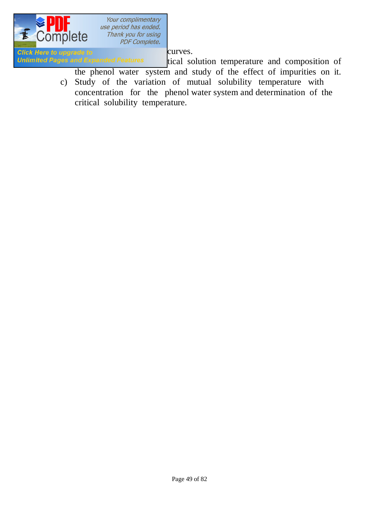

Click Here to upgrade to entitled curves.<br>
Unlimited Pages and Expanded Features tical so

tical solution temperature and composition of the phenol water system and study of the effect of impurities on it.

c) Study of the variation of mutual solubility temperature with concentration for the phenol water system and determination of the critical solubility temperature.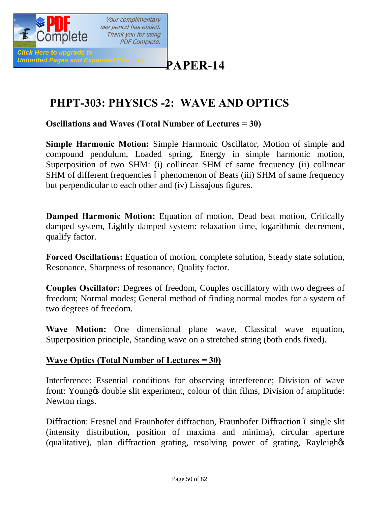

# **[P](http://www.pdfcomplete.com/cms/hppl/tabid/108/Default.aspx?r=q8b3uige22)APER-14**

# **PHPT-303: PHYSICS -2: WAVE AND OPTICS**

**Oscillations and Waves (Total Number of Lectures = 30)**

**Simple Harmonic Motion:** Simple Harmonic Oscillator, Motion of simple and compound pendulum, Loaded spring, Energy in simple harmonic motion, Superposition of two SHM: (i) collinear SHM cf same frequency (ii) collinear SHM of different frequencies 6 phenomenon of Beats (iii) SHM of same frequency but perpendicular to each other and (iv) Lissajous figures.

**Damped Harmonic Motion:** Equation of motion, Dead beat motion, Critically damped system, Lightly damped system: relaxation time, logarithmic decrement, qualify factor.

**Forced Oscillations:** Equation of motion, complete solution, Steady state solution, Resonance, Sharpness of resonance, Quality factor.

**Couples Oscillator:** Degrees of freedom, Couples oscillatory with two degrees of freedom; Normal modes; General method of finding normal modes for a system of two degrees of freedom.

**Wave Motion:** One dimensional plane wave, Classical wave equation, Superposition principle, Standing wave on a stretched string (both ends fixed).

#### **Wave Optics (Total Number of Lectures = 30)**

Interference: Essential conditions for observing interference; Division of wave front: Young & double slit experiment, colour of thin films, Division of amplitude: Newton rings.

Diffraction: Fresnel and Fraunhofer diffraction, Fraunhofer Diffraction 6 single slit (intensity distribution, position of maxima and minima), circular aperture (qualitative), plan diffraction grating, resolving power of grating, Rayleigh&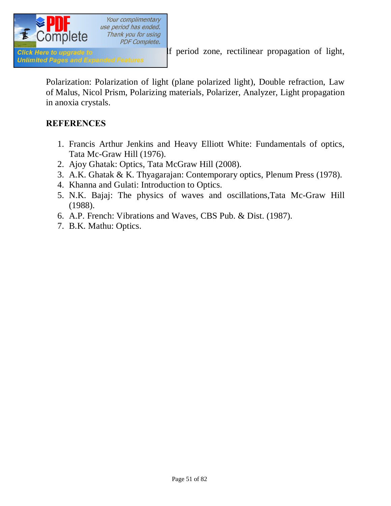

Polarization: Polarization of light (plane polarized light), Double refraction, Law of Malus, Nicol Prism, Polarizing materials, Polarizer, Analyzer, Light propagation in anoxia crystals.

#### **REFERENCES**

- 1. Francis Arthur Jenkins and Heavy Elliott White: Fundamentals of optics, Tata Mc-Graw Hill (1976).
- 2. Ajoy Ghatak: Optics, Tata McGraw Hill (2008).
- 3. A.K. Ghatak & K. Thyagarajan: Contemporary optics, Plenum Press (1978).
- 4. Khanna and Gulati: Introduction to Optics.
- 5. N.K. Bajaj: The physics of waves and oscillations,Tata Mc-Graw Hill (1988).
- 6. A.P. French: Vibrations and Waves, CBS Pub. & Dist. (1987).
- 7. B.K. Mathu: Optics.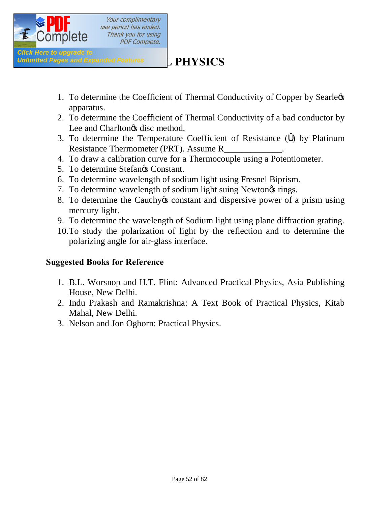

# **Unlimited Pages and Expanded Features** [PHYSICS

- 1. To determine the Coefficient of Thermal Conductivity of Copper by Searlegs apparatus.
- 2. To determine the Coefficient of Thermal Conductivity of a bad conductor by Lee and Charlton $\alpha$ s disc method.
- 3. To determine the Temperature Coefficient of Resistance ( ) by Platinum Resistance Thermometer (PRT). Assume R\_
- 4. To draw a calibration curve for a Thermocouple using a Potentiometer.
- 5. To determine Stefangs Constant.
- 6. To determine wavelength of sodium light using Fresnel Biprism.
- 7. To determine wavelength of sodium light suing Newton<sub>of</sub> rings.
- 8. To determine the Cauchy to constant and dispersive power of a prism using mercury light.
- 9. To determine the wavelength of Sodium light using plane diffraction grating.
- 10.To study the polarization of light by the reflection and to determine the polarizing angle for air-glass interface.

#### **Suggested Books for Reference**

- 1. B.L. Worsnop and H.T. Flint: Advanced Practical Physics, Asia Publishing House, New Delhi.
- 2. Indu Prakash and Ramakrishna: A Text Book of Practical Physics, Kitab Mahal, New Delhi.
- 3. Nelson and Jon Ogborn: Practical Physics.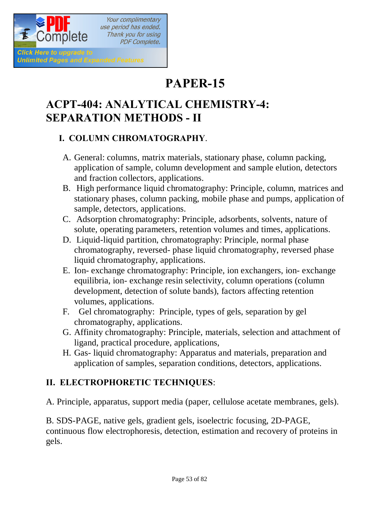

# **PAPER-15**

# **ACPT-404: ANALYTICAL CHEMISTRY-4: SEPARATION METHODS - II**

#### **I. COLUMN CHROMATOGRAPHY**.

- A. General: columns, matrix materials, stationary phase, column packing, application of sample, column development and sample elution, detectors and fraction collectors, applications.
- B. High performance liquid chromatography: Principle, column, matrices and stationary phases, column packing, mobile phase and pumps, application of sample, detectors, applications.
- C. Adsorption chromatography: Principle, adsorbents, solvents, nature of solute, operating parameters, retention volumes and times, applications.
- D. Liquid-liquid partition, chromatography: Principle, normal phase chromatography, reversed- phase liquid chromatography, reversed phase liquid chromatography, applications.
- E. Ion- exchange chromatography: Principle, ion exchangers, ion- exchange equilibria, ion- exchange resin selectivity, column operations (column development, detection of solute bands), factors affecting retention volumes, applications.
- F. Gel chromatography: Principle, types of gels, separation by gel chromatography, applications.
- G. Affinity chromatography: Principle, materials, selection and attachment of ligand, practical procedure, applications,
- H. Gas- liquid chromatography: Apparatus and materials, preparation and application of samples, separation conditions, detectors, applications.

## **II. ELECTROPHORETIC TECHNIQUES**:

A. Principle, apparatus, support media (paper, cellulose acetate membranes, gels).

B. SDS-PAGE, native gels, gradient gels, isoelectric focusing, 2D-PAGE, continuous flow electrophoresis, detection, estimation and recovery of proteins in gels.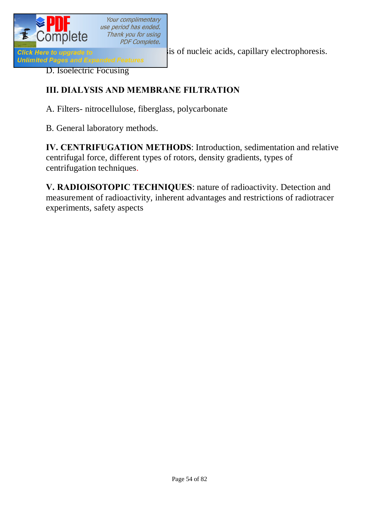

Click Here to upgrade to<br>Unlimited Pages and Expanded Features<br>Unlimited Pages and Expanded Features

D. Isoelectric Focusing

#### **III. DIALYSIS AND MEMBRANE FILTRATION**

A. Filters- nitrocellulose, fiberglass, polycarbonate

B. General laboratory methods.

**IV. CENTRIFUGATION METHODS**: Introduction, sedimentation and relative centrifugal force, different types of rotors, density gradients, types of centrifugation techniques.

**V. RADIOISOTOPIC TECHNIQUES**: nature of radioactivity. Detection and measurement of radioactivity, inherent advantages and restrictions of radiotracer experiments, safety aspects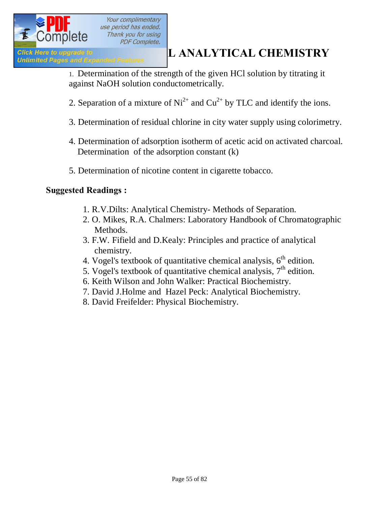

# **ACTION ACTLE AND ACTLEMENT CONSUMPTER ANALYTICAL CHEMISTRY**<br> **ANALYTICAL CHEMISTRY**

1. Determination of the strength of the given HCl solution by titrating it against NaOH solution conductometrically.

- 2. Separation of a mixture of  $Ni^{2+}$  and  $Cu^{2+}$  by TLC and identify the ions.
- 3. Determination of residual chlorine in city water supply using colorimetry.
- 4. Determination of adsorption isotherm of acetic acid on activated charcoal. Determination of the adsorption constant (k)
- 5. Determination of nicotine content in cigarette tobacco.

#### **Suggested Readings :**

- 1. R.V.Dilts: Analytical Chemistry- Methods of Separation.
- 2. O. Mikes, R.A. Chalmers: Laboratory Handbook of Chromatographic Methods.
- 3. F.W. Fifield and D.Kealy: Principles and practice of analytical chemistry.
- 4. Vogel's textbook of quantitative chemical analysis,  $6<sup>th</sup>$  edition.
- 5. Vogel's textbook of quantitative chemical analysis,  $7<sup>th</sup>$  edition.
- 6. Keith Wilson and John Walker: Practical Biochemistry.
- 7. David J.Holme and Hazel Peck: Analytical Biochemistry.
- 8. David Freifelder: Physical Biochemistry.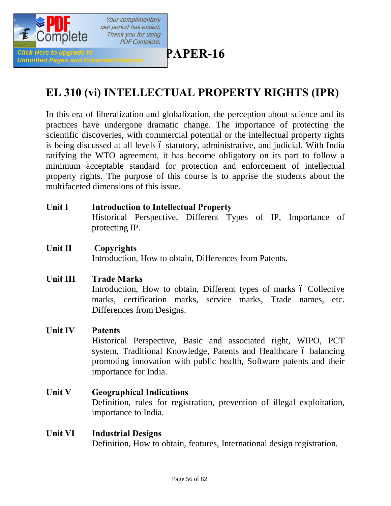

# **[P](http://www.pdfcomplete.com/cms/hppl/tabid/108/Default.aspx?r=q8b3uige22)APER-16**

# **EL 310 (vi) INTELLECTUAL PROPERTY RIGHTS (IPR)**

In this era of liberalization and globalization, the perception about science and its practices have undergone dramatic change. The importance of protecting the scientific discoveries, with commercial potential or the intellectual property rights is being discussed at all levels 6 statutory, administrative, and judicial. With India ratifying the WTO agreement, it has become obligatory on its part to follow a minimum acceptable standard for protection and enforcement of intellectual property rights. The purpose of this course is to apprise the students about the multifaceted dimensions of this issue.

- **Unit I Introduction to Intellectual Property**  Historical Perspective, Different Types of IP, Importance of protecting IP.
- **Unit II Copyrights**

Introduction, How to obtain, Differences from Patents.

**Unit III Trade Marks**

Introduction, How to obtain, Different types of marks  $\acute{o}$  Collective marks, certification marks, service marks, Trade names, etc. Differences from Designs.

**Unit IV Patents**

Historical Perspective, Basic and associated right, WIPO, PCT system, Traditional Knowledge, Patents and Healthcare 6 balancing promoting innovation with public health, Software patents and their importance for India.

- **Unit V Geographical Indications**  Definition, rules for registration, prevention of illegal exploitation, importance to India.
- **Unit VI Industrial Designs** Definition, How to obtain, features, International design registration.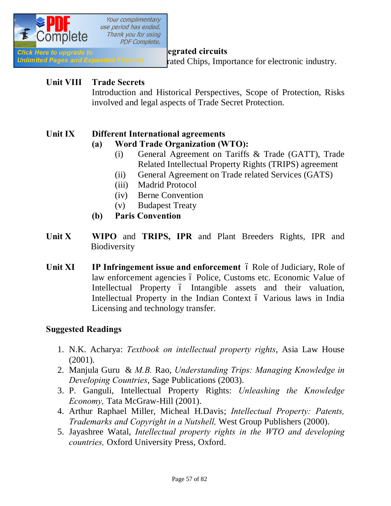

Unlimited Pages and Expanded Features rated Chips, Importance for electronic industry.

#### **Unit VIII Trade Secrets**

Introduction and Historical Perspectives, Scope of Protection, Risks involved and legal aspects of Trade Secret Protection.

#### **Unit IX Different International agreements**

#### **(a) Word Trade Organization (WTO):**

- (i) General Agreement on Tariffs & Trade (GATT), Trade Related Intellectual Property Rights (TRIPS) agreement
- (ii) General Agreement on Trade related Services (GATS)
- (iii) Madrid Protocol
- (iv) Berne Convention
- (v) Budapest Treaty
- **(b) Paris Convention**
- **Unit X WIPO** and **TRIPS, IPR** and Plant Breeders Rights, IPR and **Biodiversity**
- **Unit XI IP Infringement issue and enforcement** 6 Role of Judiciary, Role of law enforcement agencies ó Police, Customs etc. Economic Value of Intellectual Property 6 Intangible assets and their valuation, Intellectual Property in the Indian Context  $\acute{o}$  Various laws in India Licensing and technology transfer.

#### **Suggested Readings**

- 1. N.K. Acharya: *Textbook on intellectual property rights*, Asia Law House (2001).
- 2. Manjula Guru & *M.B.* Rao, *Understanding Trips: Managing Knowledge in Developing Countries*, Sage Publications (2003).
- 3. P. Ganguli, Intellectual Property Rights: *Unleashing the Knowledge Economy,* Tata McGraw-Hill (2001).
- 4. Arthur Raphael Miller, Micheal H.Davis; *Intellectual Property: Patents, Trademarks and Copyright in a Nutshell,* West Group Publishers (2000).
- 5. Jayashree Watal, *Intellectual property rights in the WTO and developing countries,* Oxford University Press, Oxford.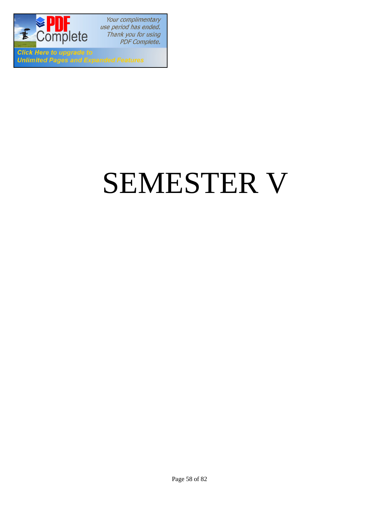

**Click Here to upgrade to Unlimited Pages and Expanded Features** 

# SEMESTER V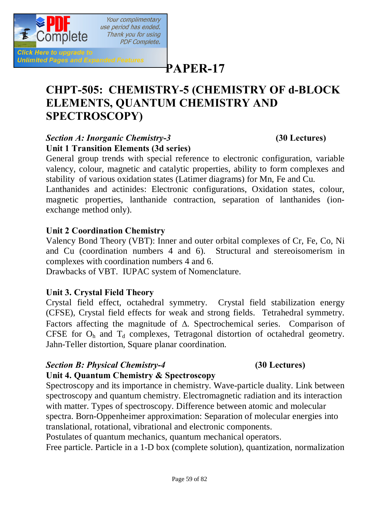

**Click Here to upgrade to Unlimited Pages and Expanded Features** 

# **[P](http://www.pdfcomplete.com/cms/hppl/tabid/108/Default.aspx?r=q8b3uige22)APER-17**

# **CHPT-505: CHEMISTRY-5 (CHEMISTRY OF d-BLOCK ELEMENTS, QUANTUM CHEMISTRY AND SPECTROSCOPY)**

#### *Section A: Inorganic Chemistry-3* **(30 Lectures) Unit 1 Transition Elements (3d series)**

Your complimentary

Thank you for using **PDF Complete.** 

General group trends with special reference to electronic configuration, variable valency, colour, magnetic and catalytic properties, ability to form complexes and stability of various oxidation states (Latimer diagrams) for Mn, Fe and Cu.

Lanthanides and actinides: Electronic configurations, Oxidation states, colour, magnetic properties, lanthanide contraction, separation of lanthanides (ionexchange method only).

#### **Unit 2 Coordination Chemistry**

Valency Bond Theory (VBT): Inner and outer orbital complexes of Cr, Fe, Co, Ni and Cu (coordination numbers 4 and 6). Structural and stereoisomerism in complexes with coordination numbers 4 and 6.

Drawbacks of VBT. IUPAC system of Nomenclature.

#### **Unit 3. Crystal Field Theory**

Crystal field effect, octahedral symmetry. Crystal field stabilization energy (CFSE), Crystal field effects for weak and strong fields. Tetrahedral symmetry. Factors affecting the magnitude of  $\Delta$ . Spectrochemical series. Comparison of CFSE for  $O_h$  and  $T_d$  complexes, Tetragonal distortion of octahedral geometry. Jahn-Teller distortion, Square planar coordination.

#### *Section B: Physical Chemistry-4* **(30 Lectures)**

#### **Unit 4. Quantum Chemistry & Spectroscopy**

Spectroscopy and its importance in chemistry. Wave-particle duality. Link between spectroscopy and quantum chemistry. Electromagnetic radiation and its interaction with matter. Types of spectroscopy. Difference between atomic and molecular spectra. Born-Oppenheimer approximation: Separation of molecular energies into translational, rotational, vibrational and electronic components.

Postulates of quantum mechanics, quantum mechanical operators.

Free particle. Particle in a 1-D box (complete solution), quantization, normalization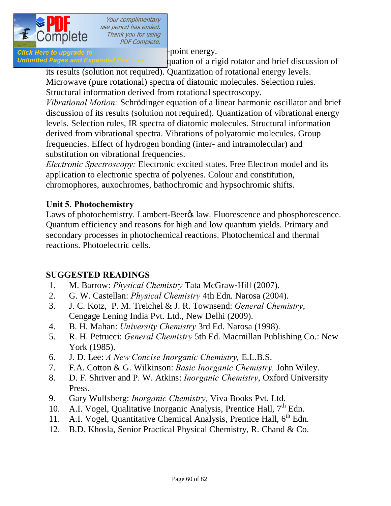

Click Here to upgrade to  $\blacksquare$ 

*Unlimited Pages and Expanded Features* quation of a rigid rotator and brief discussion of its results (solution not required). Quantization of rotational energy levels.

Microwave (pure rotational) spectra of diatomic molecules. Selection rules. Structural information derived from rotational spectroscopy.

*Vibrational Motion:* Schrödinger equation of a linear harmonic oscillator and brief discussion of its results (solution not required). Quantization of vibrational energy levels. Selection rules, IR spectra of diatomic molecules. Structural information derived from vibrational spectra. Vibrations of polyatomic molecules. Group frequencies. Effect of hydrogen bonding (inter- and intramolecular) and substitution on vibrational frequencies.

*Electronic Spectroscopy:* Electronic excited states. Free Electron model and its application to electronic spectra of polyenes. Colour and constitution, chromophores, auxochromes, bathochromic and hypsochromic shifts.

### **Unit 5. Photochemistry**

Laws of photochemistry. Lambert-Beer<sub>%</sub> law. Fluorescence and phosphorescence. Quantum efficiency and reasons for high and low quantum yields. Primary and secondary processes in photochemical reactions. Photochemical and thermal reactions. Photoelectric cells.

#### **SUGGESTED READINGS**

- 1. M. Barrow: *Physical Chemistry* Tata McGraw‐Hill (2007).
- 2. G. W. Castellan: *Physical Chemistry* 4th Edn. Narosa (2004).
- 3. J. C. Kotz, P. M. Treichel & J. R. Townsend: *General Chemistry*, Cengage Lening India Pvt. Ltd., New Delhi (2009).
- 4. B. H. Mahan: *University Chemistry* 3rd Ed. Narosa (1998).
- 5. R. H. Petrucci: *General Chemistry* 5th Ed. Macmillan Publishing Co.: New York (1985).
- 6. J. D. Lee: *A New Concise Inorganic Chemistry,* E.L.B.S.
- 7. F.A. Cotton & G. Wilkinson: *Basic Inorganic Chemistry,* John Wiley.
- 8. D. F. Shriver and P. W. Atkins: *Inorganic Chemistry*, Oxford University Press.
- 9. Gary Wulfsberg: *Inorganic Chemistry,* Viva Books Pvt. Ltd.
- 10. A.I. Vogel, Qualitative Inorganic Analysis, Prentice Hall,  $7<sup>th</sup>$  Edn.
- 11. A.I. Vogel, Quantitative Chemical Analysis, Prentice Hall,  $6<sup>th</sup>$  Edn.
- 12. B.D. Khosla, Senior Practical Physical Chemistry, R. Chand & Co.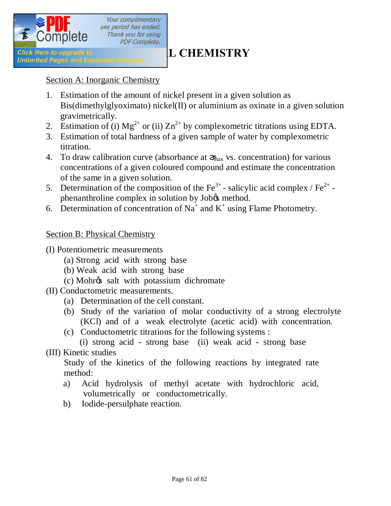

#### Section A: Inorganic Chemistry

- 1. Estimation of the amount of nickel present in a given solution as Bis(dimethylglyoximato) nickel(II) or aluminium as oxinate in a given solution gravimetrically.
- 2. Estimation of (i)  $Mg^{2+}$  or (ii)  $Zn^{2+}$  by complexometric titrations using EDTA.
- 3. Estimation of total hardness of a given sample of water by complexometric titration.
- 4. To draw calibration curve (absorbance at  $_{\text{max}}$  vs. concentration) for various concentrations of a given coloured compound and estimate the concentration of the same in a given solution.
- 5. Determination of the composition of the  $\text{Fe}^{3+}$ -salicylic acid complex /  $\text{Fe}^{2+}$ phenanthroline complex in solution by Job $\alpha$  method.
- 6. Determination of concentration of Na<sup>+</sup> and K<sup>+</sup> using Flame Photometry.

#### Section B: Physical Chemistry

- (I) Potentiometric measurements
	- (a) Strong acid with strong base
	- (b) Weak acid with strong base
	- (c) Mohr's salt with potassium dichromate
- (II) Conductometric measurements.
	- (a) Determination of the cell constant.
	- (b) Study of the variation of molar conductivity of a strong electrolyte (KCl) and of a weak electrolyte (acetic acid) with concentration.
	- (c) Conductometric titrations for the following systems :

 (i) strong acid - strong base (ii) weak acid - strong base (III) Kinetic studies

Study of the kinetics of the following reactions by integrated rate method:

- a) Acid hydrolysis of methyl acetate with hydrochloric acid, volumetrically or conductometrically.
- b) Iodide-persulphate reaction.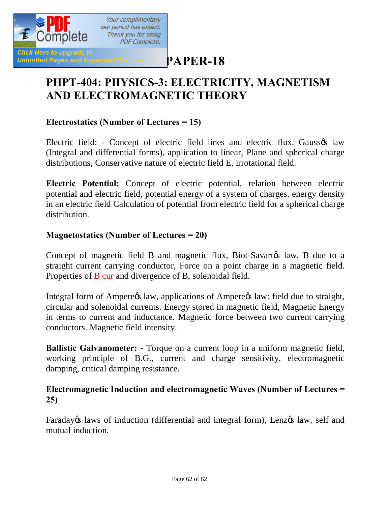

**[P](http://www.pdfcomplete.com/cms/hppl/tabid/108/Default.aspx?r=q8b3uige22)APER-18**

# **PHPT-404: PHYSICS-3: ELECTRICITY, MAGNETISM AND ELECTROMAGNETIC THEORY**

#### **Electrostatics (Number of Lectures = 15)**

Electric field: - Concept of electric field lines and electric flux. Gaussos law (Integral and differential forms), application to linear, Plane and spherical charge distributions, Conservative nature of electric field E, irrotational field.

**Electric Potential:** Concept of electric potential, relation between electric potential and electric field, potential energy of a system of charges, energy density in an electric field Calculation of potential from electric field for a spherical charge distribution.

#### **Magnetostatics (Number of Lectures = 20)**

Concept of magnetic field B and magnetic flux, Biot-Savarto alaw, B due to a straight current carrying conductor, Force on a point charge in a magnetic field. Properties of B cur and divergence of B, solenoidal field.

Integral form of Ampere $\alpha$  law, applications of Ampere $\alpha$  law: field due to straight, circular and solenoidal currents. Energy stored in magnetic field, Magnetic Energy in terms to current and inductance. Magnetic force between two current carrying conductors. Magnetic field intensity.

**Ballistic Galvanometer: -** Torque on a current loop in a uniform magnetic field, working principle of B.G., current and charge sensitivity, electromagnetic damping, critical damping resistance.

#### **Electromagnetic Induction and electromagnetic Waves (Number of Lectures = 25)**

Faraday is laws of induction (differential and integral form), Lenz is law, self and mutual induction.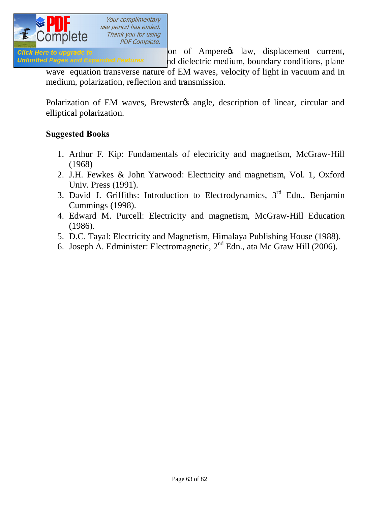

Click Here to upgrade to **Exercise 2018** on of Ampere's law, displacement current, Unlimited Pages and Expanded Features and dielectric medium, boundary conditions, plane

wave equation transverse nature of EM waves, velocity of light in vacuum and in medium, polarization, reflection and transmission.

Polarization of EM waves, Brewster & angle, description of linear, circular and elliptical polarization.

#### **Suggested Books**

- 1. Arthur F. Kip: Fundamentals of electricity and magnetism, McGraw-Hill (1968)
- 2. J.H. Fewkes & John Yarwood: Electricity and magnetism, Vol. 1, Oxford Univ. Press (1991).
- 3. David J. Griffiths: Introduction to Electrodynamics,  $3<sup>rd</sup>$  Edn., Benjamin Cummings (1998).
- 4. Edward M. Purcell: Electricity and magnetism, McGraw-Hill Education (1986).
- 5. D.C. Tayal: Electricity and Magnetism, Himalaya Publishing House (1988).
- 6. Joseph A. Edminister: Electromagnetic,  $2<sup>nd</sup>$  Edn., ata Mc Graw Hill (2006).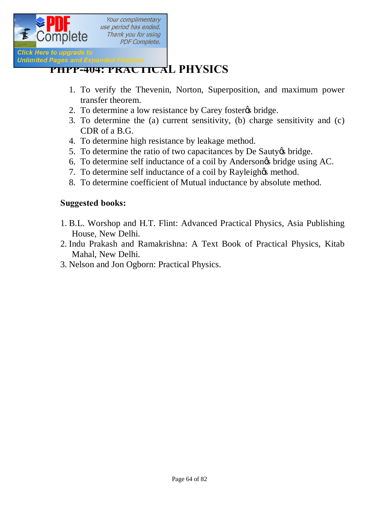

# *Pages and Expanded Features*<br> **[PHPP-404: PRACTICA](http://www.pdfcomplete.com/cms/hppl/tabid/108/Default.aspx?r=q8b3uige22)L PHYSICS**

- 1. To verify the Thevenin, Norton, Superposition, and maximum power transfer theorem.
- 2. To determine a low resistance by Carey foster ts bridge.
- 3. To determine the (a) current sensitivity, (b) charge sensitivity and (c) CDR of a B.G.
- 4. To determine high resistance by leakage method.
- 5. To determine the ratio of two capacitances by De Sauty to bridge.
- 6. To determine self inductance of a coil by Andersongs bridge using AC.
- 7. To determine self inductance of a coil by Rayleigh $\alpha$  method.
- 8. To determine coefficient of Mutual inductance by absolute method.

#### **Suggested books:**

- 1. B.L. Worshop and H.T. Flint: Advanced Practical Physics, Asia Publishing House, New Delhi.
- 2. Indu Prakash and Ramakrishna: A Text Book of Practical Physics, Kitab Mahal, New Delhi.
- 3. Nelson and Jon Ogborn: Practical Physics.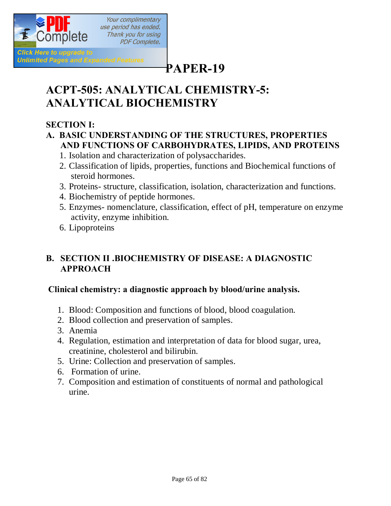

# **[P](http://www.pdfcomplete.com/cms/hppl/tabid/108/Default.aspx?r=q8b3uige22)APER-19**

# **ACPT-505: ANALYTICAL CHEMISTRY-5: ANALYTICAL BIOCHEMISTRY**

### **SECTION I:**

#### **A. BASIC UNDERSTANDING OF THE STRUCTURES, PROPERTIES AND FUNCTIONS OF CARBOHYDRATES, LIPIDS, AND PROTEINS**

- 1. Isolation and characterization of polysaccharides.
- 2. Classification of lipids, properties, functions and Biochemical functions of steroid hormones.
- 3. Proteins- structure, classification, isolation, characterization and functions.
- 4. Biochemistry of peptide hormones.
- 5. Enzymes- nomenclature, classification, effect of pH, temperature on enzyme activity, enzyme inhibition.
- 6. Lipoproteins

### **B. SECTION II .BIOCHEMISTRY OF DISEASE: A DIAGNOSTIC APPROACH**

#### **Clinical chemistry: a diagnostic approach by blood/urine analysis.**

- 1. Blood: Composition and functions of blood, blood coagulation.
- 2. Blood collection and preservation of samples.
- 3. Anemia
- 4. Regulation, estimation and interpretation of data for blood sugar, urea, creatinine, cholesterol and bilirubin.
- 5. Urine: Collection and preservation of samples.
- 6. Formation of urine.
- 7. Composition and estimation of constituents of normal and pathological urine.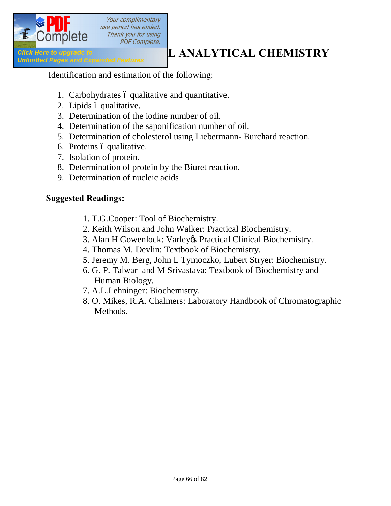

Identification and estimation of the following:

- 1. Carbohydrates 6 qualitative and quantitative.
- 2. Lipids ó qualitative.
- 3. Determination of the iodine number of oil.
- 4. Determination of the saponification number of oil.
- 5. Determination of cholesterol using Liebermann- Burchard reaction.
- 6. Proteins ó qualitative.
- 7. Isolation of protein.
- 8. Determination of protein by the Biuret reaction.
- 9. Determination of nucleic acids

#### **Suggested Readings:**

- 1. T.G.Cooper: Tool of Biochemistry.
- 2. Keith Wilson and John Walker: Practical Biochemistry.
- 3. Alan H Gowenlock: Varley & Practical Clinical Biochemistry.
- 4. Thomas M. Devlin: Textbook of Biochemistry.
- 5. Jeremy M. Berg, John L Tymoczko, Lubert Stryer: Biochemistry.
- 6. G. P. Talwar and M Srivastava: Textbook of Biochemistry and Human Biology.
- 7. A.L.Lehninger: Biochemistry.
- 8. O. Mikes, R.A. Chalmers: Laboratory Handbook of Chromatographic Methods.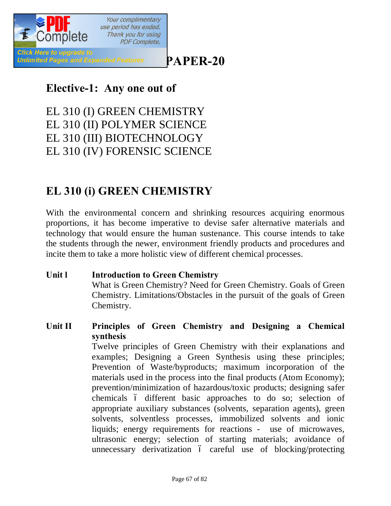

# **[P](http://www.pdfcomplete.com/cms/hppl/tabid/108/Default.aspx?r=q8b3uige22)APER-20**

# **Elective-1: Any one out of**

EL 310 (I) GREEN CHEMISTRY EL 310 (II) POLYMER SCIENCE EL 310 (III) BIOTECHNOLOGY EL 310 (IV) FORENSIC SCIENCE

# **EL 310 (i) GREEN CHEMISTRY**

With the environmental concern and shrinking resources acquiring enormous proportions, it has become imperative to devise safer alternative materials and technology that would ensure the human sustenance. This course intends to take the students through the newer, environment friendly products and procedures and incite them to take a more holistic view of different chemical processes.

**Unit l Introduction to Green Chemistry** What is Green Chemistry? Need for Green Chemistry. Goals of Green Chemistry. Limitations/Obstacles in the pursuit of the goals of Green Chemistry.

### **Unit II Principles of Green Chemistry and Designing a Chemical synthesis** Twelve principles of Green Chemistry with their explanations and examples; Designing a Green Synthesis using these principles;

Prevention of Waste/byproducts; maximum incorporation of the materials used in the process into the final products (Atom Economy); prevention/minimization of hazardous/toxic products; designing safer chemicals 6 different basic approaches to do so; selection of appropriate auxiliary substances (solvents, separation agents), green solvents, solventless processes, immobilized solvents and ionic liquids; energy requirements for reactions - use of microwaves, ultrasonic energy; selection of starting materials; avoidance of unnecessary derivatization  $\acute{o}$  careful use of blocking/protecting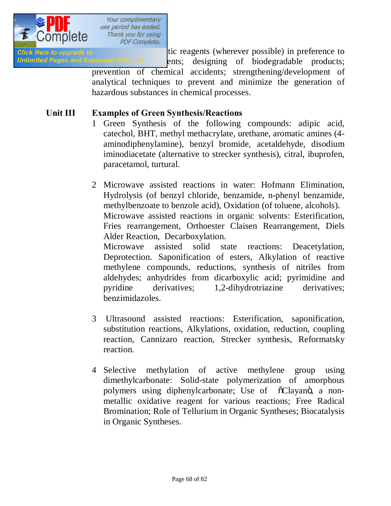

Glick Here to upgrade to **under the catalytic reagents** (wherever possible) in preference to Unlimited Pages and Expanded Features ents; designing of biodegradable products; prevention of chemical accidents; strengthening/development of

analytical techniques to prevent and minimize the generation of hazardous substances in chemical processes.

#### **Unit III Examples of Green Synthesis/Reactions**

- 1 Green Synthesis of the following compounds: adipic acid, catechol, BHT, methyl methacrylate, urethane, aromatic amines (4 aminodiphenylamine), benzyl bromide, acetaldehyde, disodium iminodiacetate (alternative to strecker synthesis), citral, ibuprofen, paracetamol, turtural.
- 2 Microwave assisted reactions in water: Hofmann Elimination, Hydrolysis (of benzyl chloride, benzamide, n-phenyl benzamide, methylbenzoate to benzole acid), Oxidation (of toluene, alcohols). Microwave assisted reactions in organic solvents: Esterification, Fries rearrangement, Orthoester Claisen Rearrangement, Diels Alder Reaction, Decarboxylation.

Microwave assisted solid state reactions: Deacetylation, Deprotection. Saponification of esters, Alkylation of reactive methylene compounds, reductions, synthesis of nitriles from aldehydes; anhydrides from dicarboxylic acid; pyrimidine and pyridine derivatives; 1,2-dihydrotriazine derivatives; benzimidazoles.

- 3 Ultrasound assisted reactions: Esterification, saponification, substitution reactions, Alkylations, oxidation, reduction, coupling reaction, Cannizaro reaction, Strecker synthesis, Reformatsky reaction.
- 4 Selective methylation of active methylene group using dimethylcarbonate: Solid-state polymerization of amorphous polymers using diphenylcarbonate; Use of  $\tilde{o}$ Clayanö, a nonmetallic oxidative reagent for various reactions; Free Radical Bromination; Role of Tellurium in Organic Syntheses; Biocatalysis in Organic Syntheses.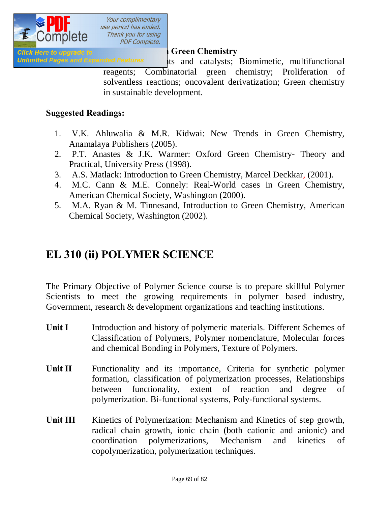

Unlimited Pages and Expanded Features lts and catalysts; Biomimetic, multifunctional

reagents; Combinatorial green chemistry; Proliferation of solventless reactions; oncovalent derivatization; Green chemistry in sustainable development.

#### **Suggested Readings:**

- 1. V.K. Ahluwalia & M.R. Kidwai: New Trends in Green Chemistry, Anamalaya Publishers (2005).
- 2. P.T. Anastes & J.K. Warmer: Oxford Green Chemistry- Theory and Practical, University Press (1998).
- 3. A.S. Matlack: Introduction to Green Chemistry, Marcel Deckkar, (2001).
- 4. M.C. Cann & M.E. Connely: Real-World cases in Green Chemistry, American Chemical Society, Washington (2000).
- 5. M.A. Ryan & M. Tinnesand, Introduction to Green Chemistry, American Chemical Society, Washington (2002).

# **EL 310 (ii) POLYMER SCIENCE**

The Primary Objective of Polymer Science course is to prepare skillful Polymer Scientists to meet the growing requirements in polymer based industry, Government, research & development organizations and teaching institutions.

- **Unit I** Introduction and history of polymeric materials. Different Schemes of Classification of Polymers, Polymer nomenclature, Molecular forces and chemical Bonding in Polymers, Texture of Polymers.
- Unit II Functionality and its importance, Criteria for synthetic polymer formation, classification of polymerization processes, Relationships between functionality, extent of reaction and degree of polymerization. Bi-functional systems, Poly-functional systems.
- Unit III Kinetics of Polymerization: Mechanism and Kinetics of step growth, radical chain growth, ionic chain (both cationic and anionic) and coordination polymerizations, Mechanism and kinetics of copolymerization, polymerization techniques.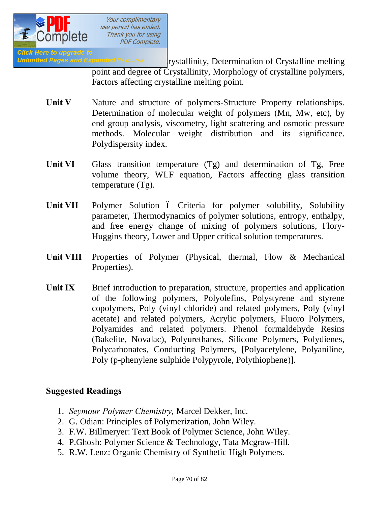

Unlimited Pages and Expanded Features **Figure 1: 12 Transformation and Crystalline melting** point and degree of Crystallinity, Morphology of crystalline polymers, Factors affecting crystalline melting point.

- Unit V Nature and structure of polymers-Structure Property relationships. Determination of molecular weight of polymers (Mn, Mw, etc), by end group analysis, viscometry, light scattering and osmotic pressure methods. Molecular weight distribution and its significance. Polydispersity index.
- Unit VI Glass transition temperature (Tg) and determination of Tg, Free volume theory, WLF equation, Factors affecting glass transition temperature (Tg).
- Unit VII Polymer Solution 6 Criteria for polymer solubility, Solubility parameter, Thermodynamics of polymer solutions, entropy, enthalpy, and free energy change of mixing of polymers solutions, Flory-Huggins theory, Lower and Upper critical solution temperatures.
- Unit VIII Properties of Polymer (Physical, thermal, Flow & Mechanical Properties).
- Unit IX Brief introduction to preparation, structure, properties and application of the following polymers, Polyolefins, Polystyrene and styrene copolymers, Poly (vinyl chloride) and related polymers, Poly (vinyl acetate) and related polymers, Acrylic polymers, Fluoro Polymers, Polyamides and related polymers. Phenol formaldehyde Resins (Bakelite, Novalac), Polyurethanes, Silicone Polymers, Polydienes, Polycarbonates, Conducting Polymers, [Polyacetylene, Polyaniline, Poly (p-phenylene sulphide Polypyrole, Polythiophene)].

#### **Suggested Readings**

- 1. *Seymour Polymer Chemistry,* Marcel Dekker, Inc.
- 2. G. Odian: Principles of Polymerization, John Wiley.
- 3. F.W. Billmeryer: Text Book of Polymer Science, John Wiley.
- 4. P.Ghosh: Polymer Science & Technology, Tata Mcgraw-Hill.
- 5. R.W. Lenz: Organic Chemistry of Synthetic High Polymers.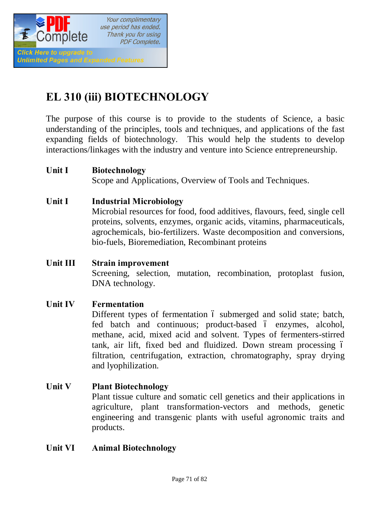

# **EL 310 (iii) BIOTECHNOLOGY**

The purpose of this course is to provide to the students of Science, a basic understanding of the principles, tools and techniques, and applications of the fast expanding fields of biotechnology. This would help the students to develop interactions/linkages with the industry and venture into Science entrepreneurship.

#### **Unit I Biotechnology**

Scope and Applications, Overview of Tools and Techniques.

#### **Unit I Industrial Microbiology**

Microbial resources for food, food additives, flavours, feed, single cell proteins, solvents, enzymes, organic acids, vitamins, pharmaceuticals, agrochemicals, bio-fertilizers. Waste decomposition and conversions, bio-fuels, Bioremediation, Recombinant proteins

## **Unit III Strain improvement**  Screening, selection, mutation, recombination, protoplast fusion, DNA technology.

#### **Unit IV Fermentation**

Different types of fermentation  $\acute{o}$  submerged and solid state; batch, fed batch and continuous; product-based  $\acute{o}$  enzymes, alcohol, methane, acid, mixed acid and solvent. Types of fermenters-stirred tank, air lift, fixed bed and fluidized. Down stream processing – filtration, centrifugation, extraction, chromatography, spray drying and lyophilization.

#### **Unit V Plant Biotechnology**

Plant tissue culture and somatic cell genetics and their applications in agriculture, plant transformation-vectors and methods, genetic engineering and transgenic plants with useful agronomic traits and products.

#### **Unit VI Animal Biotechnology**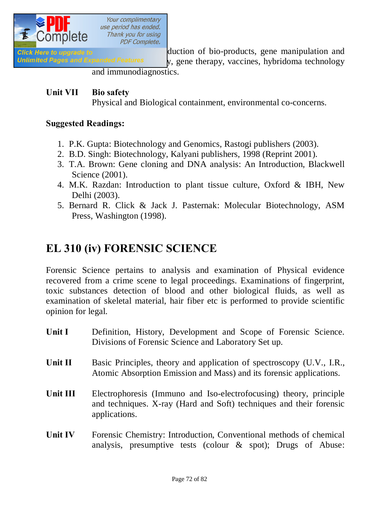

Click Here to upgrade to **Exercise 20** duction of bio-products, gene manipulation and Unlimited Pages and Expanded Features  $y$ , gene therapy, vaccines, hybridoma technology

and immunodiagnostics.

#### **Unit VII Bio safety**  Physical and Biological containment, environmental co-concerns.

#### **Suggested Readings:**

- 1. P.K. Gupta: Biotechnology and Genomics, Rastogi publishers (2003).
- 2. B.D. Singh: Biotechnology, Kalyani publishers, 1998 (Reprint 2001).
- 3. T.A. Brown: Gene cloning and DNA analysis: An Introduction, Blackwell Science (2001).
- 4. M.K. Razdan: Introduction to plant tissue culture, Oxford & IBH, New Delhi (2003).
- 5. Bernard R. Click & Jack J. Pasternak: Molecular Biotechnology, ASM Press, Washington (1998).

# **EL 310 (iv) FORENSIC SCIENCE**

Forensic Science pertains to analysis and examination of Physical evidence recovered from a crime scene to legal proceedings. Examinations of fingerprint, toxic substances detection of blood and other biological fluids, as well as examination of skeletal material, hair fiber etc is performed to provide scientific opinion for legal.

- Unit I Definition, History, Development and Scope of Forensic Science. Divisions of Forensic Science and Laboratory Set up.
- Unit II Basic Principles, theory and application of spectroscopy (U.V., I.R., Atomic Absorption Emission and Mass) and its forensic applications.
- **Unit III** Electrophoresis (Immuno and Iso-electrofocusing) theory, principle and techniques. X-ray (Hard and Soft) techniques and their forensic applications.
- Unit IV Forensic Chemistry: Introduction, Conventional methods of chemical analysis, presumptive tests (colour & spot); Drugs of Abuse: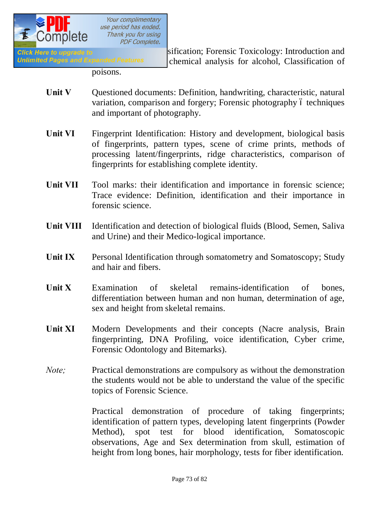

Click Here to upgrade to **Exercise 2018** Sification; Forensic Toxicology: Introduction and Unlimited Pages and Expanded Features chemical analysis for alcohol, Classification of

poisons.

- Unit V Questioned documents: Definition, handwriting, characteristic, natural variation, comparison and forgery; Forensic photography 6 techniques and important of photography.
- Unit VI Fingerprint Identification: History and development, biological basis of fingerprints, pattern types, scene of crime prints, methods of processing latent/fingerprints, ridge characteristics, comparison of fingerprints for establishing complete identity.
- Unit VII Tool marks: their identification and importance in forensic science; Trace evidence: Definition, identification and their importance in forensic science.
- **Unit VIII** Identification and detection of biological fluids (Blood, Semen, Saliva and Urine) and their Medico-logical importance.
- **Unit IX** Personal Identification through somatometry and Somatoscopy; Study and hair and fibers.
- **Unit X** Examination of skeletal remains-identification of bones, differentiation between human and non human, determination of age, sex and height from skeletal remains.
- Unit XI Modern Developments and their concepts (Nacre analysis, Brain fingerprinting, DNA Profiling, voice identification, Cyber crime, Forensic Odontology and Bitemarks).
- *Note*; Practical demonstrations are compulsory as without the demonstration the students would not be able to understand the value of the specific topics of Forensic Science.

Practical demonstration of procedure of taking fingerprints; identification of pattern types, developing latent fingerprints (Powder Method), spot test for blood identification, Somatoscopic observations, Age and Sex determination from skull, estimation of height from long bones, hair morphology, tests for fiber identification.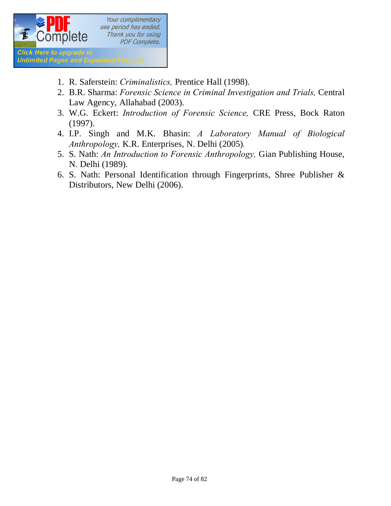

- 1. R. Saferstein: *Criminalistics,* Prentice Hall (1998).
- 2. B.R. Sharma: *Forensic Science in Criminal Investigation and Trials,* Central Law Agency, Allahabad (2003).
- 3. W.G. Eckert: *Introduction of Forensic Science,* CRE Press, Bock Raton (1997).
- 4. I.P. Singh and M.K. Bhasin: *A Laboratory Manual of Biological Anthropology,* K.R. Enterprises, N. Delhi (2005)*.*
- 5. S. Nath: *An Introduction to Forensic Anthropology,* Gian Publishing House, N. Delhi (1989).
- 6. S. Nath: Personal Identification through Fingerprints, Shree Publisher & Distributors, New Delhi (2006).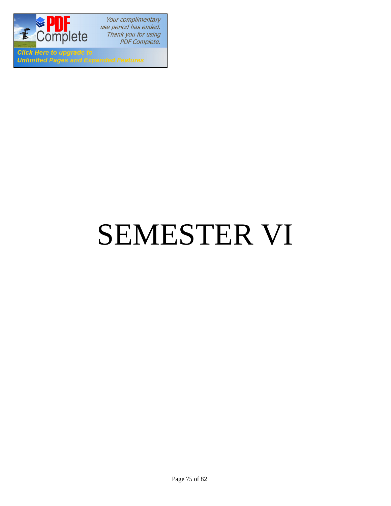

Your complimentary use period has ended. Thank you for using PDF Complete.

**Click Here to upgrade to Unlimited Pages and Expanded Features** 

# SEMESTER VI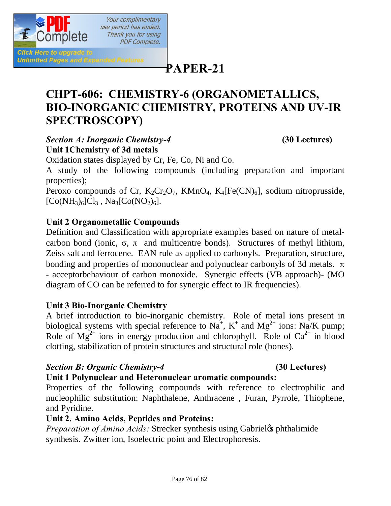

**[P](http://www.pdfcomplete.com/cms/hppl/tabid/108/Default.aspx?r=q8b3uige22)APER-21**

# **CHPT-606: CHEMISTRY-6 (ORGANOMETALLICS, BIO-INORGANIC CHEMISTRY, PROTEINS AND UV-IR SPECTROSCOPY)**

#### *Section A: Inorganic Chemistry-4* **(30 Lectures) Unit 1Chemistry of 3d metals**

Oxidation states displayed by Cr, Fe, Co, Ni and Co.

A study of the following compounds (including preparation and important properties);

Peroxo compounds of Cr,  $K_2Cr_2O_7$ ,  $KMnO_4$ ,  $K_4[Fe(CN)_6]$ , sodium nitroprusside,  $[Co(NH_3)_6]Cl_3$ , Na<sub>3</sub> $[Co(NO_2)_6]$ .

#### **Unit 2 Organometallic Compounds**

Definition and Classification with appropriate examples based on nature of metalcarbon bond (ionic,  $\sigma$ ,  $\pi$  and multicentre bonds). Structures of methyl lithium, Zeiss salt and ferrocene. EAN rule as applied to carbonyls. Preparation, structure, bonding and properties of mononuclear and polynuclear carbonyls of 3d metals.  $\pi$ - acceptorbehaviour of carbon monoxide. Synergic effects (VB approach)- (MO diagram of CO can be referred to for synergic effect to IR frequencies).

#### **Unit 3 Bio-Inorganic Chemistry**

A brief introduction to bio-inorganic chemistry. Role of metal ions present in biological systems with special reference to  $Na^+$ ,  $K^+$  and  $Mg^{2+}$  ions: Na/K pump; Role of  $Mg^{2+}$  ions in energy production and chlorophyll. Role of  $Ca^{2+}$  in blood clotting, stabilization of protein structures and structural role (bones).

#### *Section B: Organic Chemistry-4* **(30 Lectures)**

#### **Unit 1 Polynuclear and Heteronuclear aromatic compounds:**

Properties of the following compounds with reference to electrophilic and nucleophilic substitution: Naphthalene, Anthracene , Furan, Pyrrole, Thiophene, and Pyridine.

#### **Unit 2. Amino Acids, Peptides and Proteins:**

*Preparation of Amino Acids:* Strecker synthesis using Gabriel & phthalimide synthesis. Zwitter ion, Isoelectric point and Electrophoresis.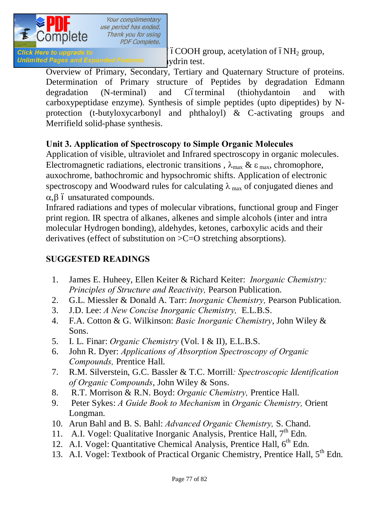

*Click Here to upgrade to Reactions of Amino accelerations of*  $6NH_2$  *group,* Unlimited Pages and Expanded Features vidrin test.

Overview of Primary, Secondary, Tertiary and Quaternary Structure of proteins. Determination of Primary structure of Peptides by degradation Edmann degradation (N-terminal) and Cóterminal (thiohydantoin and with carboxypeptidase enzyme). Synthesis of simple peptides (upto dipeptides) by Nprotection (t-butyloxycarbonyl and phthaloyl) & C-activating groups and Merrifield solid-phase synthesis.

#### **Unit 3. Application of Spectroscopy to Simple Organic Molecules**

Application of visible, ultraviolet and Infrared spectroscopy in organic molecules. Electromagnetic radiations, electronic transitions,  $\lambda_{\text{max}} \& \varepsilon_{\text{max}}$ , chromophore, auxochrome, bathochromic and hypsochromic shifts. Application of electronic spectroscopy and Woodward rules for calculating  $\lambda_{\text{max}}$  of conjugated dienes and  $\alpha$ , $\beta$  ó unsaturated compounds.

Infrared radiations and types of molecular vibrations, functional group and Finger print region. IR spectra of alkanes, alkenes and simple alcohols (inter and intra molecular Hydrogen bonding), aldehydes, ketones, carboxylic acids and their derivatives (effect of substitution on >C=O stretching absorptions).

#### **SUGGESTED READINGS**

- 1. James E. Huheey, Ellen Keiter & Richard Keiter: *Inorganic Chemistry: Principles of Structure and Reactivity,* Pearson Publication.
- 2. G.L. Miessler & Donald A. Tarr: *Inorganic Chemistry,* Pearson Publication.
- 3. J.D. Lee: *A New Concise Inorganic Chemistry,* E.L.B.S.
- 4. F.A. Cotton & G. Wilkinson: *Basic Inorganic Chemistry*, John Wiley & Sons.
- 5. I. L. Finar: *Organic Chemistry* (Vol. I & II), E.L.B.S.
- 6. John R. Dyer: *Applications of Absorption Spectroscopy of Organic Compounds,* Prentice Hall.
- 7. R.M. Silverstein, G.C. Bassler & T.C. Morrill*: Spectroscopic Identification of Organic Compounds*, John Wiley & Sons.
- 8. R.T. Morrison & R.N. Boyd: *Organic Chemistry,* Prentice Hall.
- 9. Peter Sykes: *A Guide Book to Mechanism* in *Organic Chemistry,* Orient Longman.
- 10. Arun Bahl and B. S. Bahl: *Advanced Organic Chemistry,* S. Chand.
- 11. A.I. Vogel: Qualitative Inorganic Analysis, Prentice Hall, 7<sup>th</sup> Edn.
- 12. A.I. Vogel: Quantitative Chemical Analysis, Prentice Hall,  $6<sup>th</sup>$  Edn.
- 13. A.I. Vogel: Textbook of Practical Organic Chemistry, Prentice Hall, 5<sup>th</sup> Edn.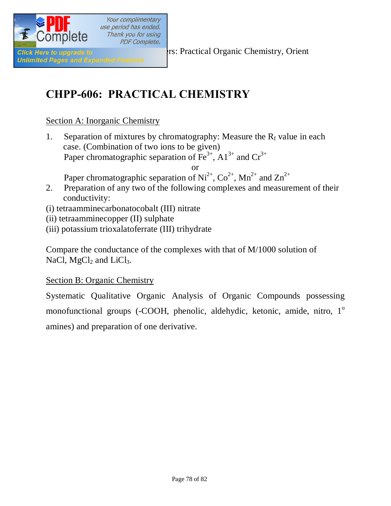

Your complimentary use period has ended. Thank you for using **PDF Complete.** 

**Click Here to upgrade to Elizabeth Click Here to upgrade to Elizabeth Structure Chemistry, Orient** 

# **CHPP-606: PRACTICAL CHEMISTRY**

#### Section A: Inorganic Chemistry

1. Separation of mixtures by chromatography: Measure the  $R_f$  value in each case. (Combination of two ions to be given) Paper chromatographic separation of  $\overline{Fe}^{3+}$ ,  $\overline{Al}^{3+}$  and  $\overline{Cr}^{3+}$ 

or

Paper chromatographic separation of  $Ni^{2+}$ ,  $Co^{2+}$ ,  $Mn^{2+}$  and  $Zn^{2+}$ 

- 2. Preparation of any two of the following complexes and measurement of their conductivity:
- (i) tetraamminecarbonatocobalt (III) nitrate
- (ii) tetraamminecopper (II) sulphate
- (iii) potassium trioxalatoferrate (III) trihydrate

Compare the conductance of the complexes with that of M/1000 solution of NaCl,  $MgCl<sub>2</sub>$  and LiCl<sub>3</sub>.

#### Section B: Organic Chemistry

Systematic Qualitative Organic Analysis of Organic Compounds possessing monofunctional groups (-COOH, phenolic, aldehydic, ketonic, amide, nitro, 1<sup>o</sup> amines) and preparation of one derivative.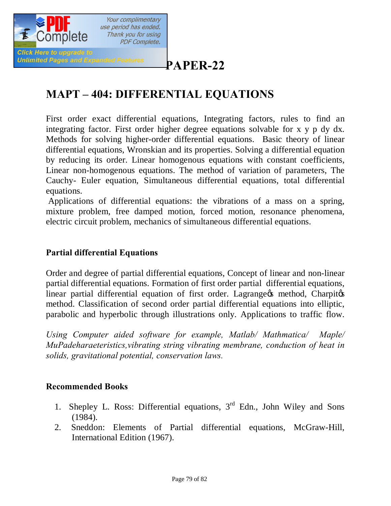

# **[P](http://www.pdfcomplete.com/cms/hppl/tabid/108/Default.aspx?r=q8b3uige22)APER-22**

# **MAPT – 404: DIFFERENTIAL EQUATIONS**

First order exact differential equations, Integrating factors, rules to find an integrating factor. First order higher degree equations solvable for x y p dy dx. Methods for solving higher-order differential equations. Basic theory of linear differential equations, Wronskian and its properties. Solving a differential equation by reducing its order. Linear homogenous equations with constant coefficients, Linear non-homogenous equations. The method of variation of parameters, The Cauchy- Euler equation, Simultaneous differential equations, total differential equations.

Applications of differential equations: the vibrations of a mass on a spring, mixture problem, free damped motion, forced motion, resonance phenomena, electric circuit problem, mechanics of simultaneous differential equations.

#### **Partial differential Equations**

Order and degree of partial differential equations, Concept of linear and non-linear partial differential equations. Formation of first order partial differential equations, linear partial differential equation of first order. Lagrange is method, Charpitos method. Classification of second order partial differential equations into elliptic, parabolic and hyperbolic through illustrations only. Applications to traffic flow.

*Using Computer aided software for example, Matlab/ Mathmatica/ Maple/ MuPadeharaeteristics,vibrating string vibrating membrane, conduction of heat in solids, gravitational potential, conservation laws.*

#### **Recommended Books**

- 1. Shepley L. Ross: Differential equations,  $3<sup>rd</sup>$  Edn., John Wiley and Sons (1984).
- 2. Sneddon: Elements of Partial differential equations, McGraw-Hill, International Edition (1967).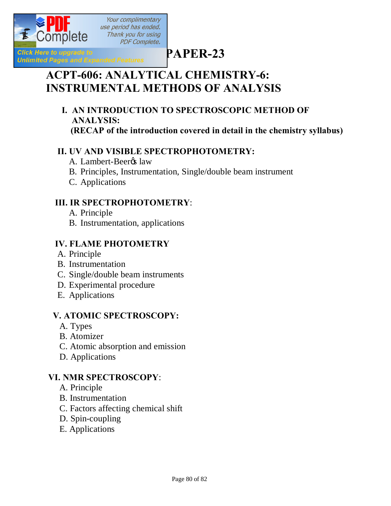

# **[P](http://www.pdfcomplete.com/cms/hppl/tabid/108/Default.aspx?r=q8b3uige22)APER-23**

# **ACPT-606: ANALYTICAL CHEMISTRY-6: INSTRUMENTAL METHODS OF ANALYSIS**

 **I. AN INTRODUCTION TO SPECTROSCOPIC METHOD OF ANALYSIS: (RECAP of the introduction covered in detail in the chemistry syllabus)**

#### **II. UV AND VISIBLE SPECTROPHOTOMETRY:**

- A. Lambert-Beeros law
- B. Principles, Instrumentation, Single/double beam instrument
- C. Applications

#### **III. IR SPECTROPHOTOMETRY**:

- A. Principle
- B. Instrumentation, applications

## **IV. FLAME PHOTOMETRY**

- A. Principle
- B. Instrumentation
- C. Single/double beam instruments
- D. Experimental procedure
- E. Applications

## **V. ATOMIC SPECTROSCOPY:**

- A. Types
- B. Atomizer
- C. Atomic absorption and emission
- D. Applications

## **VI. NMR SPECTROSCOPY**:

- A. Principle
- B. Instrumentation
- C. Factors affecting chemical shift
- D. Spin-coupling
- E. Applications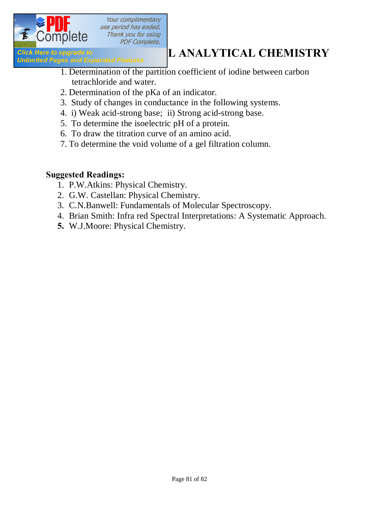

Your complimentary use period has ended. Thank you for using **PDF Complete.** 

# **ACTION LETTER AND CONSUMPTER AN ALTER AREA ASSESSED AND A LOCAL CHEMISTRY**<br> **ANALYTICAL CHEMISTRY**

- 1. Determination of the partition coefficient of iodine between carbon tetrachloride and water.
- 2. Determination of the pKa of an indicator.
- 3. Study of changes in conductance in the following systems.
- 4. i) Weak acid-strong base; ii) Strong acid-strong base.
- 5. To determine the isoelectric pH of a protein.
- 6. To draw the titration curve of an amino acid.
- 7. To determine the void volume of a gel filtration column.

#### **Suggested Readings:**

- 1. P.W.Atkins: Physical Chemistry.
- 2. G.W. Castellan: Physical Chemistry.
- 3. C.N.Banwell: Fundamentals of Molecular Spectroscopy.
- 4. Brian Smith: Infra red Spectral Interpretations: A Systematic Approach.
- **5.** W.J.Moore: Physical Chemistry.